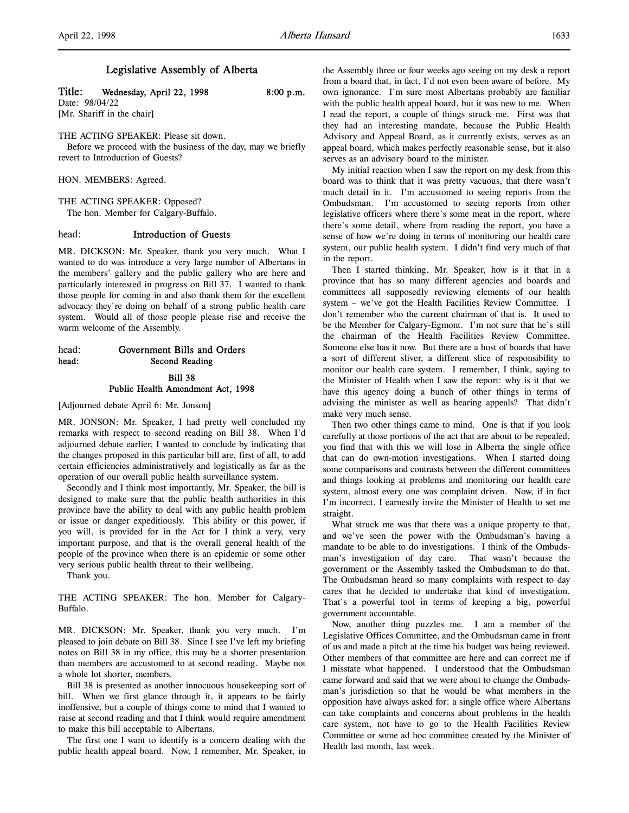# Legislative Assembly of Alberta

Title: Wednesday, April 22, 1998  $8:00 \text{ p.m.}$ 

Date: 98/04/22 [Mr. Shariff in the chair]

THE ACTING SPEAKER: Please sit down.

Before we proceed with the business of the day, may we briefly revert to Introduction of Guests?

HON. MEMBERS: Agreed.

THE ACTING SPEAKER: Opposed? The hon. Member for Calgary-Buffalo.

head: Introduction of Guests

MR. DICKSON: Mr. Speaker, thank you very much. What I wanted to do was introduce a very large number of Albertans in the members' gallery and the public gallery who are here and particularly interested in progress on Bill 37. I wanted to thank those people for coming in and also thank them for the excellent advocacy they're doing on behalf of a strong public health care system. Would all of those people please rise and receive the warm welcome of the Assembly.

# head: Government Bills and Orders head: Second Reading Bill 38 Public Health Amendment Act, 1998

[Adjourned debate April 6: Mr. Jonson]

MR. JONSON: Mr. Speaker, I had pretty well concluded my remarks with respect to second reading on Bill 38. When I'd adjourned debate earlier, I wanted to conclude by indicating that the changes proposed in this particular bill are, first of all, to add certain efficiencies administratively and logistically as far as the operation of our overall public health surveillance system.

Secondly and I think most importantly, Mr. Speaker, the bill is designed to make sure that the public health authorities in this province have the ability to deal with any public health problem or issue or danger expeditiously. This ability or this power, if you will, is provided for in the Act for I think a very, very important purpose, and that is the overall general health of the people of the province when there is an epidemic or some other very serious public health threat to their wellbeing.

Thank you.

THE ACTING SPEAKER: The hon. Member for Calgary-Buffalo.

MR. DICKSON: Mr. Speaker, thank you very much. I'm pleased to join debate on Bill 38. Since I see I've left my briefing notes on Bill 38 in my office, this may be a shorter presentation than members are accustomed to at second reading. Maybe not a whole lot shorter, members.

Bill 38 is presented as another innocuous housekeeping sort of bill. When we first glance through it, it appears to be fairly inoffensive, but a couple of things come to mind that I wanted to raise at second reading and that I think would require amendment to make this bill acceptable to Albertans.

The first one I want to identify is a concern dealing with the public health appeal board. Now, I remember, Mr. Speaker, in the Assembly three or four weeks ago seeing on my desk a report from a board that, in fact, I'd not even been aware of before. My own ignorance. I'm sure most Albertans probably are familiar with the public health appeal board, but it was new to me. When I read the report, a couple of things struck me. First was that they had an interesting mandate, because the Public Health Advisory and Appeal Board, as it currently exists, serves as an appeal board, which makes perfectly reasonable sense, but it also serves as an advisory board to the minister.

My initial reaction when I saw the report on my desk from this board was to think that it was pretty vacuous, that there wasn't much detail in it. I'm accustomed to seeing reports from the Ombudsman. I'm accustomed to seeing reports from other legislative officers where there's some meat in the report, where there's some detail, where from reading the report, you have a sense of how we're doing in terms of monitoring our health care system, our public health system. I didn't find very much of that in the report.

Then I started thinking, Mr. Speaker, how is it that in a province that has so many different agencies and boards and committees all supposedly reviewing elements of our health system – we've got the Health Facilities Review Committee. I don't remember who the current chairman of that is. It used to be the Member for Calgary-Egmont. I'm not sure that he's still the chairman of the Health Facilities Review Committee. Someone else has it now. But there are a host of boards that have a sort of different sliver, a different slice of responsibility to monitor our health care system. I remember, I think, saying to the Minister of Health when I saw the report: why is it that we have this agency doing a bunch of other things in terms of advising the minister as well as hearing appeals? That didn't make very much sense.

Then two other things came to mind. One is that if you look carefully at those portions of the act that are about to be repealed, you find that with this we will lose in Alberta the single office that can do own-motion investigations. When I started doing some comparisons and contrasts between the different committees and things looking at problems and monitoring our health care system, almost every one was complaint driven. Now, if in fact I'm incorrect, I earnestly invite the Minister of Health to set me straight.

What struck me was that there was a unique property to that, and we've seen the power with the Ombudsman's having a mandate to be able to do investigations. I think of the Ombudsman's investigation of day care. That wasn't because the government or the Assembly tasked the Ombudsman to do that. The Ombudsman heard so many complaints with respect to day cares that he decided to undertake that kind of investigation. That's a powerful tool in terms of keeping a big, powerful government accountable.

Now, another thing puzzles me. I am a member of the Legislative Offices Committee, and the Ombudsman came in front of us and made a pitch at the time his budget was being reviewed. Other members of that committee are here and can correct me if I misstate what happened. I understood that the Ombudsman came forward and said that we were about to change the Ombudsman's jurisdiction so that he would be what members in the opposition have always asked for: a single office where Albertans can take complaints and concerns about problems in the health care system, not have to go to the Health Facilities Review Committee or some ad hoc committee created by the Minister of Health last month, last week.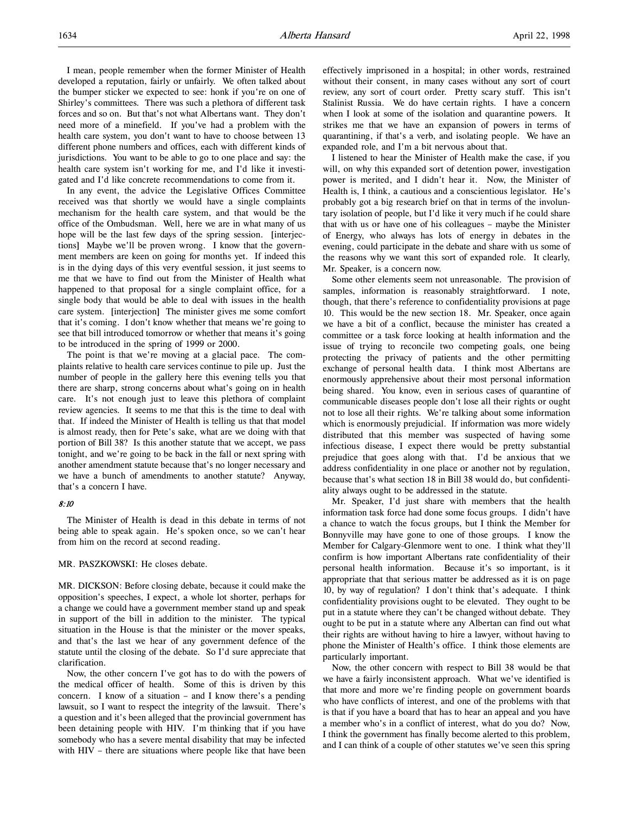I mean, people remember when the former Minister of Health developed a reputation, fairly or unfairly. We often talked about the bumper sticker we expected to see: honk if you're on one of Shirley's committees. There was such a plethora of different task forces and so on. But that's not what Albertans want. They don't need more of a minefield. If you've had a problem with the health care system, you don't want to have to choose between 13 different phone numbers and offices, each with different kinds of jurisdictions. You want to be able to go to one place and say: the health care system isn't working for me, and I'd like it investigated and I'd like concrete recommendations to come from it.

In any event, the advice the Legislative Offices Committee received was that shortly we would have a single complaints mechanism for the health care system, and that would be the office of the Ombudsman. Well, here we are in what many of us hope will be the last few days of the spring session. [interjections] Maybe we'll be proven wrong. I know that the government members are keen on going for months yet. If indeed this is in the dying days of this very eventful session, it just seems to me that we have to find out from the Minister of Health what happened to that proposal for a single complaint office, for a single body that would be able to deal with issues in the health care system. [interjection] The minister gives me some comfort that it's coming. I don't know whether that means we're going to see that bill introduced tomorrow or whether that means it's going to be introduced in the spring of 1999 or 2000.

The point is that we're moving at a glacial pace. The complaints relative to health care services continue to pile up. Just the number of people in the gallery here this evening tells you that there are sharp, strong concerns about what's going on in health care. It's not enough just to leave this plethora of complaint review agencies. It seems to me that this is the time to deal with that. If indeed the Minister of Health is telling us that that model is almost ready, then for Pete's sake, what are we doing with that portion of Bill 38? Is this another statute that we accept, we pass tonight, and we're going to be back in the fall or next spring with another amendment statute because that's no longer necessary and we have a bunch of amendments to another statute? Anyway, that's a concern I have.

## 8:10

The Minister of Health is dead in this debate in terms of not being able to speak again. He's spoken once, so we can't hear from him on the record at second reading.

## MR. PASZKOWSKI: He closes debate.

MR. DICKSON: Before closing debate, because it could make the opposition's speeches, I expect, a whole lot shorter, perhaps for a change we could have a government member stand up and speak in support of the bill in addition to the minister. The typical situation in the House is that the minister or the mover speaks, and that's the last we hear of any government defence of the statute until the closing of the debate. So I'd sure appreciate that clarification.

Now, the other concern I've got has to do with the powers of the medical officer of health. Some of this is driven by this concern. I know of a situation – and I know there's a pending lawsuit, so I want to respect the integrity of the lawsuit. There's a question and it's been alleged that the provincial government has been detaining people with HIV. I'm thinking that if you have somebody who has a severe mental disability that may be infected with HIV – there are situations where people like that have been

effectively imprisoned in a hospital; in other words, restrained without their consent, in many cases without any sort of court review, any sort of court order. Pretty scary stuff. This isn't Stalinist Russia. We do have certain rights. I have a concern when I look at some of the isolation and quarantine powers. It strikes me that we have an expansion of powers in terms of quarantining, if that's a verb, and isolating people. We have an expanded role, and I'm a bit nervous about that.

I listened to hear the Minister of Health make the case, if you will, on why this expanded sort of detention power, investigation power is merited, and I didn't hear it. Now, the Minister of Health is, I think, a cautious and a conscientious legislator. He's probably got a big research brief on that in terms of the involuntary isolation of people, but I'd like it very much if he could share that with us or have one of his colleagues – maybe the Minister of Energy, who always has lots of energy in debates in the evening, could participate in the debate and share with us some of the reasons why we want this sort of expanded role. It clearly, Mr. Speaker, is a concern now.

Some other elements seem not unreasonable. The provision of samples, information is reasonably straightforward. I note, though, that there's reference to confidentiality provisions at page 10. This would be the new section 18. Mr. Speaker, once again we have a bit of a conflict, because the minister has created a committee or a task force looking at health information and the issue of trying to reconcile two competing goals, one being protecting the privacy of patients and the other permitting exchange of personal health data. I think most Albertans are enormously apprehensive about their most personal information being shared. You know, even in serious cases of quarantine of communicable diseases people don't lose all their rights or ought not to lose all their rights. We're talking about some information which is enormously prejudicial. If information was more widely distributed that this member was suspected of having some infectious disease, I expect there would be pretty substantial prejudice that goes along with that. I'd be anxious that we address confidentiality in one place or another not by regulation, because that's what section 18 in Bill 38 would do, but confidentiality always ought to be addressed in the statute.

Mr. Speaker, I'd just share with members that the health information task force had done some focus groups. I didn't have a chance to watch the focus groups, but I think the Member for Bonnyville may have gone to one of those groups. I know the Member for Calgary-Glenmore went to one. I think what they'll confirm is how important Albertans rate confidentiality of their personal health information. Because it's so important, is it appropriate that that serious matter be addressed as it is on page 10, by way of regulation? I don't think that's adequate. I think confidentiality provisions ought to be elevated. They ought to be put in a statute where they can't be changed without debate. They ought to be put in a statute where any Albertan can find out what their rights are without having to hire a lawyer, without having to phone the Minister of Health's office. I think those elements are particularly important.

Now, the other concern with respect to Bill 38 would be that we have a fairly inconsistent approach. What we've identified is that more and more we're finding people on government boards who have conflicts of interest, and one of the problems with that is that if you have a board that has to hear an appeal and you have a member who's in a conflict of interest, what do you do? Now, I think the government has finally become alerted to this problem, and I can think of a couple of other statutes we've seen this spring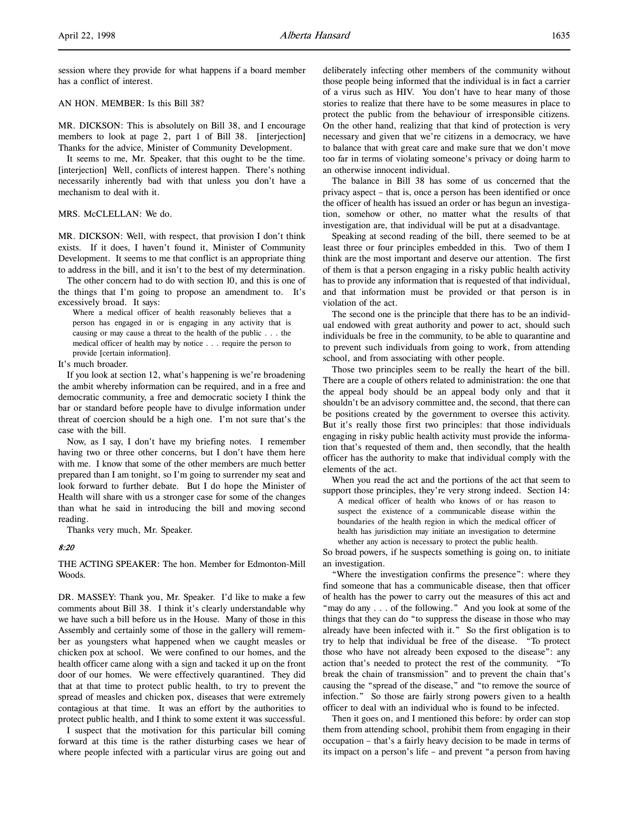session where they provide for what happens if a board member has a conflict of interest.

# AN HON. MEMBER: Is this Bill 38?

MR. DICKSON: This is absolutely on Bill 38, and I encourage members to look at page 2, part 1 of Bill 38. [interjection] Thanks for the advice, Minister of Community Development.

It seems to me, Mr. Speaker, that this ought to be the time. [interjection] Well, conflicts of interest happen. There's nothing necessarily inherently bad with that unless you don't have a mechanism to deal with it.

## MRS. McCLELLAN: We do.

MR. DICKSON: Well, with respect, that provision I don't think exists. If it does, I haven't found it, Minister of Community Development. It seems to me that conflict is an appropriate thing to address in the bill, and it isn't to the best of my determination.

The other concern had to do with section 10, and this is one of the things that I'm going to propose an amendment to. It's excessively broad. It says:

Where a medical officer of health reasonably believes that a person has engaged in or is engaging in any activity that is causing or may cause a threat to the health of the public . . . the medical officer of health may by notice . . . require the person to provide [certain information].

It's much broader.

If you look at section 12, what's happening is we're broadening the ambit whereby information can be required, and in a free and democratic community, a free and democratic society I think the bar or standard before people have to divulge information under threat of coercion should be a high one. I'm not sure that's the case with the bill.

Now, as I say, I don't have my briefing notes. I remember having two or three other concerns, but I don't have them here with me. I know that some of the other members are much better prepared than I am tonight, so I'm going to surrender my seat and look forward to further debate. But I do hope the Minister of Health will share with us a stronger case for some of the changes than what he said in introducing the bill and moving second reading.

Thanks very much, Mr. Speaker.

#### 8:20

THE ACTING SPEAKER: The hon. Member for Edmonton-Mill Woods.

DR. MASSEY: Thank you, Mr. Speaker. I'd like to make a few comments about Bill 38. I think it's clearly understandable why we have such a bill before us in the House. Many of those in this Assembly and certainly some of those in the gallery will remember as youngsters what happened when we caught measles or chicken pox at school. We were confined to our homes, and the health officer came along with a sign and tacked it up on the front door of our homes. We were effectively quarantined. They did that at that time to protect public health, to try to prevent the spread of measles and chicken pox, diseases that were extremely contagious at that time. It was an effort by the authorities to protect public health, and I think to some extent it was successful.

I suspect that the motivation for this particular bill coming forward at this time is the rather disturbing cases we hear of where people infected with a particular virus are going out and

deliberately infecting other members of the community without those people being informed that the individual is in fact a carrier of a virus such as HIV. You don't have to hear many of those stories to realize that there have to be some measures in place to protect the public from the behaviour of irresponsible citizens. On the other hand, realizing that that kind of protection is very necessary and given that we're citizens in a democracy, we have to balance that with great care and make sure that we don't move too far in terms of violating someone's privacy or doing harm to an otherwise innocent individual.

The balance in Bill 38 has some of us concerned that the privacy aspect – that is, once a person has been identified or once the officer of health has issued an order or has begun an investigation, somehow or other, no matter what the results of that investigation are, that individual will be put at a disadvantage.

Speaking at second reading of the bill, there seemed to be at least three or four principles embedded in this. Two of them I think are the most important and deserve our attention. The first of them is that a person engaging in a risky public health activity has to provide any information that is requested of that individual, and that information must be provided or that person is in violation of the act.

The second one is the principle that there has to be an individual endowed with great authority and power to act, should such individuals be free in the community, to be able to quarantine and to prevent such individuals from going to work, from attending school, and from associating with other people.

Those two principles seem to be really the heart of the bill. There are a couple of others related to administration: the one that the appeal body should be an appeal body only and that it shouldn't be an advisory committee and, the second, that there can be positions created by the government to oversee this activity. But it's really those first two principles: that those individuals engaging in risky public health activity must provide the information that's requested of them and, then secondly, that the health officer has the authority to make that individual comply with the elements of the act.

When you read the act and the portions of the act that seem to support those principles, they're very strong indeed. Section 14:

A medical officer of health who knows of or has reason to suspect the existence of a communicable disease within the boundaries of the health region in which the medical officer of health has jurisdiction may initiate an investigation to determine whether any action is necessary to protect the public health.

So broad powers, if he suspects something is going on, to initiate an investigation.

"Where the investigation confirms the presence": where they find someone that has a communicable disease, then that officer of health has the power to carry out the measures of this act and "may do any . . . of the following." And you look at some of the things that they can do "to suppress the disease in those who may already have been infected with it." So the first obligation is to try to help that individual be free of the disease. "To protect those who have not already been exposed to the disease": any action that's needed to protect the rest of the community. "To break the chain of transmission" and to prevent the chain that's causing the "spread of the disease," and "to remove the source of infection." So those are fairly strong powers given to a health officer to deal with an individual who is found to be infected.

Then it goes on, and I mentioned this before: by order can stop them from attending school, prohibit them from engaging in their occupation – that's a fairly heavy decision to be made in terms of its impact on a person's life – and prevent "a person from having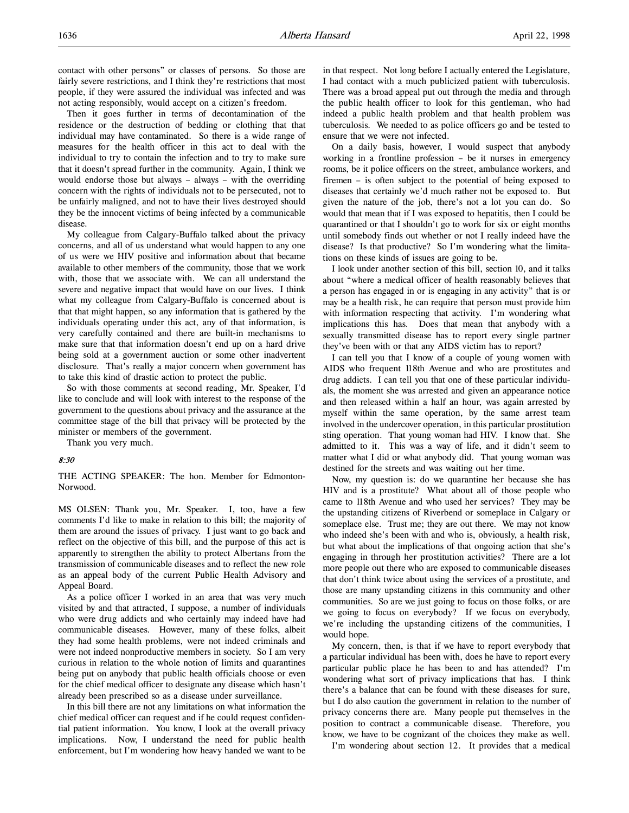Then it goes further in terms of decontamination of the residence or the destruction of bedding or clothing that that individual may have contaminated. So there is a wide range of measures for the health officer in this act to deal with the individual to try to contain the infection and to try to make sure that it doesn't spread further in the community. Again, I think we would endorse those but always – always – with the overriding concern with the rights of individuals not to be persecuted, not to be unfairly maligned, and not to have their lives destroyed should they be the innocent victims of being infected by a communicable disease.

My colleague from Calgary-Buffalo talked about the privacy concerns, and all of us understand what would happen to any one of us were we HIV positive and information about that became available to other members of the community, those that we work with, those that we associate with. We can all understand the severe and negative impact that would have on our lives. I think what my colleague from Calgary-Buffalo is concerned about is that that might happen, so any information that is gathered by the individuals operating under this act, any of that information, is very carefully contained and there are built-in mechanisms to make sure that that information doesn't end up on a hard drive being sold at a government auction or some other inadvertent disclosure. That's really a major concern when government has to take this kind of drastic action to protect the public.

So with those comments at second reading, Mr. Speaker, I'd like to conclude and will look with interest to the response of the government to the questions about privacy and the assurance at the committee stage of the bill that privacy will be protected by the minister or members of the government.

Thank you very much.

#### 8:30

THE ACTING SPEAKER: The hon. Member for Edmonton-Norwood.

MS OLSEN: Thank you, Mr. Speaker. I, too, have a few comments I'd like to make in relation to this bill; the majority of them are around the issues of privacy. I just want to go back and reflect on the objective of this bill, and the purpose of this act is apparently to strengthen the ability to protect Albertans from the transmission of communicable diseases and to reflect the new role as an appeal body of the current Public Health Advisory and Appeal Board.

As a police officer I worked in an area that was very much visited by and that attracted, I suppose, a number of individuals who were drug addicts and who certainly may indeed have had communicable diseases. However, many of these folks, albeit they had some health problems, were not indeed criminals and were not indeed nonproductive members in society. So I am very curious in relation to the whole notion of limits and quarantines being put on anybody that public health officials choose or even for the chief medical officer to designate any disease which hasn't already been prescribed so as a disease under surveillance.

In this bill there are not any limitations on what information the chief medical officer can request and if he could request confidential patient information. You know, I look at the overall privacy implications. Now, I understand the need for public health enforcement, but I'm wondering how heavy handed we want to be

in that respect. Not long before I actually entered the Legislature, I had contact with a much publicized patient with tuberculosis. There was a broad appeal put out through the media and through the public health officer to look for this gentleman, who had indeed a public health problem and that health problem was tuberculosis. We needed to as police officers go and be tested to ensure that we were not infected.

On a daily basis, however, I would suspect that anybody working in a frontline profession – be it nurses in emergency rooms, be it police officers on the street, ambulance workers, and firemen – is often subject to the potential of being exposed to diseases that certainly we'd much rather not be exposed to. But given the nature of the job, there's not a lot you can do. So would that mean that if I was exposed to hepatitis, then I could be quarantined or that I shouldn't go to work for six or eight months until somebody finds out whether or not I really indeed have the disease? Is that productive? So I'm wondering what the limitations on these kinds of issues are going to be.

I look under another section of this bill, section 10, and it talks about "where a medical officer of health reasonably believes that a person has engaged in or is engaging in any activity" that is or may be a health risk, he can require that person must provide him with information respecting that activity. I'm wondering what implications this has. Does that mean that anybody with a sexually transmitted disease has to report every single partner they've been with or that any AIDS victim has to report?

I can tell you that I know of a couple of young women with AIDS who frequent 118th Avenue and who are prostitutes and drug addicts. I can tell you that one of these particular individuals, the moment she was arrested and given an appearance notice and then released within a half an hour, was again arrested by myself within the same operation, by the same arrest team involved in the undercover operation, in this particular prostitution sting operation. That young woman had HIV. I know that. She admitted to it. This was a way of life, and it didn't seem to matter what I did or what anybody did. That young woman was destined for the streets and was waiting out her time.

Now, my question is: do we quarantine her because she has HIV and is a prostitute? What about all of those people who came to 118th Avenue and who used her services? They may be the upstanding citizens of Riverbend or someplace in Calgary or someplace else. Trust me; they are out there. We may not know who indeed she's been with and who is, obviously, a health risk, but what about the implications of that ongoing action that she's engaging in through her prostitution activities? There are a lot more people out there who are exposed to communicable diseases that don't think twice about using the services of a prostitute, and those are many upstanding citizens in this community and other communities. So are we just going to focus on those folks, or are we going to focus on everybody? If we focus on everybody, we're including the upstanding citizens of the communities, I would hope.

My concern, then, is that if we have to report everybody that a particular individual has been with, does he have to report every particular public place he has been to and has attended? I'm wondering what sort of privacy implications that has. I think there's a balance that can be found with these diseases for sure, but I do also caution the government in relation to the number of privacy concerns there are. Many people put themselves in the position to contract a communicable disease. Therefore, you know, we have to be cognizant of the choices they make as well.

I'm wondering about section 12. It provides that a medical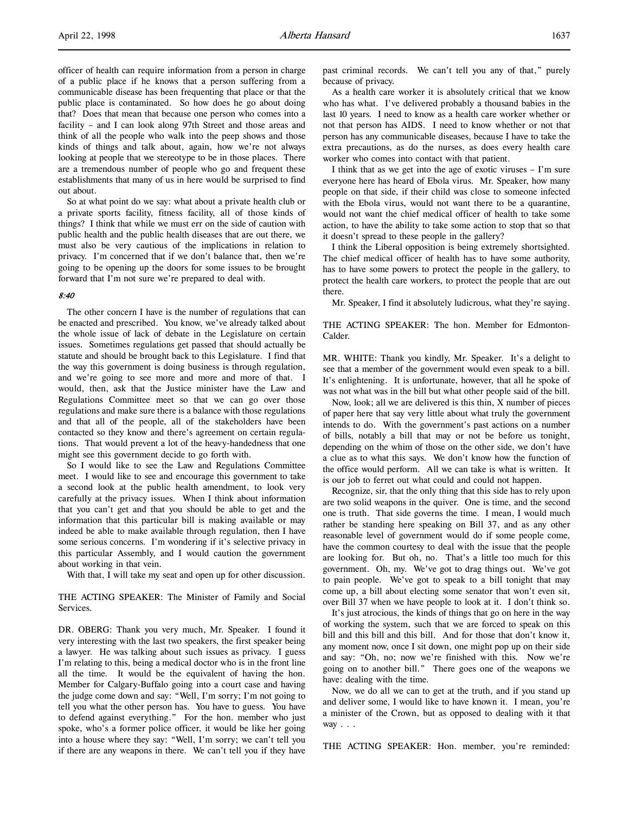officer of health can require information from a person in charge of a public place if he knows that a person suffering from a communicable disease has been frequenting that place or that the public place is contaminated. So how does he go about doing that? Does that mean that because one person who comes into a facility – and I can look along 97th Street and those areas and think of all the people who walk into the peep shows and those kinds of things and talk about, again, how we're not always looking at people that we stereotype to be in those places. There are a tremendous number of people who go and frequent these establishments that many of us in here would be surprised to find out about.

So at what point do we say: what about a private health club or a private sports facility, fitness facility, all of those kinds of things? I think that while we must err on the side of caution with public health and the public health diseases that are out there, we must also be very cautious of the implications in relation to privacy. I'm concerned that if we don't balance that, then we're going to be opening up the doors for some issues to be brought forward that I'm not sure we're prepared to deal with.

#### 8:40

The other concern I have is the number of regulations that can be enacted and prescribed. You know, we've already talked about the whole issue of lack of debate in the Legislature on certain issues. Sometimes regulations get passed that should actually be statute and should be brought back to this Legislature. I find that the way this government is doing business is through regulation, and we're going to see more and more and more of that. I would, then, ask that the Justice minister have the Law and Regulations Committee meet so that we can go over those regulations and make sure there is a balance with those regulations and that all of the people, all of the stakeholders have been contacted so they know and there's agreement on certain regulations. That would prevent a lot of the heavy-handedness that one might see this government decide to go forth with.

So I would like to see the Law and Regulations Committee meet. I would like to see and encourage this government to take a second look at the public health amendment, to look very carefully at the privacy issues. When I think about information that you can't get and that you should be able to get and the information that this particular bill is making available or may indeed be able to make available through regulation, then I have some serious concerns. I'm wondering if it's selective privacy in this particular Assembly, and I would caution the government about working in that vein.

With that, I will take my seat and open up for other discussion.

THE ACTING SPEAKER: The Minister of Family and Social Services.

DR. OBERG: Thank you very much, Mr. Speaker. I found it very interesting with the last two speakers, the first speaker being a lawyer. He was talking about such issues as privacy. I guess I'm relating to this, being a medical doctor who is in the front line all the time. It would be the equivalent of having the hon. Member for Calgary-Buffalo going into a court case and having the judge come down and say: "Well, I'm sorry; I'm not going to tell you what the other person has. You have to guess. You have to defend against everything." For the hon. member who just spoke, who's a former police officer, it would be like her going into a house where they say: "Well, I'm sorry; we can't tell you if there are any weapons in there. We can't tell you if they have

past criminal records. We can't tell you any of that," purely because of privacy.

As a health care worker it is absolutely critical that we know who has what. I've delivered probably a thousand babies in the last 10 years. I need to know as a health care worker whether or not that person has AIDS. I need to know whether or not that person has any communicable diseases, because I have to take the extra precautions, as do the nurses, as does every health care worker who comes into contact with that patient.

I think that as we get into the age of exotic viruses – I'm sure everyone here has heard of Ebola virus. Mr. Speaker, how many people on that side, if their child was close to someone infected with the Ebola virus, would not want there to be a quarantine, would not want the chief medical officer of health to take some action, to have the ability to take some action to stop that so that it doesn't spread to these people in the gallery?

I think the Liberal opposition is being extremely shortsighted. The chief medical officer of health has to have some authority, has to have some powers to protect the people in the gallery, to protect the health care workers, to protect the people that are out there.

Mr. Speaker, I find it absolutely ludicrous, what they're saying.

THE ACTING SPEAKER: The hon. Member for Edmonton-Calder.

MR. WHITE: Thank you kindly, Mr. Speaker. It's a delight to see that a member of the government would even speak to a bill. It's enlightening. It is unfortunate, however, that all he spoke of was not what was in the bill but what other people said of the bill.

Now, look; all we are delivered is this thin, X number of pieces of paper here that say very little about what truly the government intends to do. With the government's past actions on a number of bills, notably a bill that may or not be before us tonight, depending on the whim of those on the other side, we don't have a clue as to what this says. We don't know how the function of the office would perform. All we can take is what is written. It is our job to ferret out what could and could not happen.

Recognize, sir, that the only thing that this side has to rely upon are two solid weapons in the quiver. One is time, and the second one is truth. That side governs the time. I mean, I would much rather be standing here speaking on Bill 37, and as any other reasonable level of government would do if some people come, have the common courtesy to deal with the issue that the people are looking for. But oh, no. That's a little too much for this government. Oh, my. We've got to drag things out. We've got to pain people. We've got to speak to a bill tonight that may come up, a bill about electing some senator that won't even sit, over Bill 37 when we have people to look at it. I don't think so.

It's just atrocious, the kinds of things that go on here in the way of working the system, such that we are forced to speak on this bill and this bill and this bill. And for those that don't know it, any moment now, once I sit down, one might pop up on their side and say: "Oh, no; now we're finished with this. Now we're going on to another bill." There goes one of the weapons we have: dealing with the time.

Now, we do all we can to get at the truth, and if you stand up and deliver some, I would like to have known it. I mean, you're a minister of the Crown, but as opposed to dealing with it that way . . .

THE ACTING SPEAKER: Hon. member, you're reminded: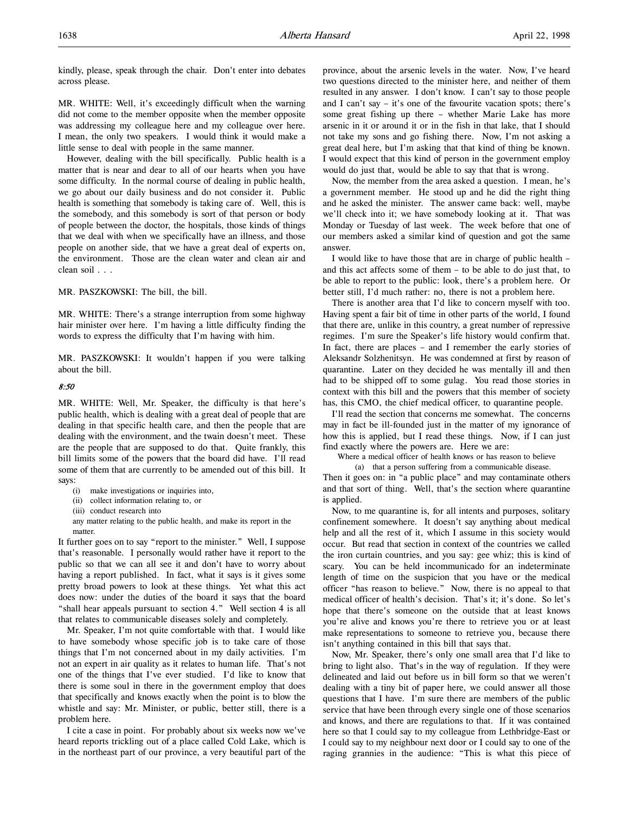kindly, please, speak through the chair. Don't enter into debates across please.

MR. WHITE: Well, it's exceedingly difficult when the warning did not come to the member opposite when the member opposite was addressing my colleague here and my colleague over here. I mean, the only two speakers. I would think it would make a little sense to deal with people in the same manner.

However, dealing with the bill specifically. Public health is a matter that is near and dear to all of our hearts when you have some difficulty. In the normal course of dealing in public health, we go about our daily business and do not consider it. Public health is something that somebody is taking care of. Well, this is the somebody, and this somebody is sort of that person or body of people between the doctor, the hospitals, those kinds of things that we deal with when we specifically have an illness, and those people on another side, that we have a great deal of experts on, the environment. Those are the clean water and clean air and clean soil . . .

MR. PASZKOWSKI: The bill, the bill.

MR. WHITE: There's a strange interruption from some highway hair minister over here. I'm having a little difficulty finding the words to express the difficulty that I'm having with him.

MR. PASZKOWSKI: It wouldn't happen if you were talking about the bill.

#### 8:50

MR. WHITE: Well, Mr. Speaker, the difficulty is that here's public health, which is dealing with a great deal of people that are dealing in that specific health care, and then the people that are dealing with the environment, and the twain doesn't meet. These are the people that are supposed to do that. Quite frankly, this bill limits some of the powers that the board did have. I'll read some of them that are currently to be amended out of this bill. It says:

- (i) make investigations or inquiries into,
- (ii) collect information relating to, or
- (iii) conduct research into

any matter relating to the public health, and make its report in the matter.

It further goes on to say "report to the minister." Well, I suppose that's reasonable. I personally would rather have it report to the public so that we can all see it and don't have to worry about having a report published. In fact, what it says is it gives some pretty broad powers to look at these things. Yet what this act does now: under the duties of the board it says that the board "shall hear appeals pursuant to section 4." Well section 4 is all that relates to communicable diseases solely and completely.

Mr. Speaker, I'm not quite comfortable with that. I would like to have somebody whose specific job is to take care of those things that I'm not concerned about in my daily activities. I'm not an expert in air quality as it relates to human life. That's not one of the things that I've ever studied. I'd like to know that there is some soul in there in the government employ that does that specifically and knows exactly when the point is to blow the whistle and say: Mr. Minister, or public, better still, there is a problem here.

I cite a case in point. For probably about six weeks now we've heard reports trickling out of a place called Cold Lake, which is in the northeast part of our province, a very beautiful part of the

province, about the arsenic levels in the water. Now, I've heard two questions directed to the minister here, and neither of them resulted in any answer. I don't know. I can't say to those people and I can't say – it's one of the favourite vacation spots; there's some great fishing up there – whether Marie Lake has more arsenic in it or around it or in the fish in that lake, that I should not take my sons and go fishing there. Now, I'm not asking a great deal here, but I'm asking that that kind of thing be known. I would expect that this kind of person in the government employ would do just that, would be able to say that that is wrong.

Now, the member from the area asked a question. I mean, he's a government member. He stood up and he did the right thing and he asked the minister. The answer came back: well, maybe we'll check into it; we have somebody looking at it. That was Monday or Tuesday of last week. The week before that one of our members asked a similar kind of question and got the same answer.

I would like to have those that are in charge of public health – and this act affects some of them – to be able to do just that, to be able to report to the public: look, there's a problem here. Or better still, I'd much rather: no, there is not a problem here.

There is another area that I'd like to concern myself with too. Having spent a fair bit of time in other parts of the world, I found that there are, unlike in this country, a great number of repressive regimes. I'm sure the Speaker's life history would confirm that. In fact, there are places – and I remember the early stories of Aleksandr Solzhenitsyn. He was condemned at first by reason of quarantine. Later on they decided he was mentally ill and then had to be shipped off to some gulag. You read those stories in context with this bill and the powers that this member of society has, this CMO, the chief medical officer, to quarantine people.

I'll read the section that concerns me somewhat. The concerns may in fact be ill-founded just in the matter of my ignorance of how this is applied, but I read these things. Now, if I can just find exactly where the powers are. Here we are:

Where a medical officer of health knows or has reason to believe

(a) that a person suffering from a communicable disease.

Then it goes on: in "a public place" and may contaminate others and that sort of thing. Well, that's the section where quarantine is applied.

Now, to me quarantine is, for all intents and purposes, solitary confinement somewhere. It doesn't say anything about medical help and all the rest of it, which I assume in this society would occur. But read that section in context of the countries we called the iron curtain countries, and you say: gee whiz; this is kind of scary. You can be held incommunicado for an indeterminate length of time on the suspicion that you have or the medical officer "has reason to believe." Now, there is no appeal to that medical officer of health's decision. That's it; it's done. So let's hope that there's someone on the outside that at least knows you're alive and knows you're there to retrieve you or at least make representations to someone to retrieve you, because there isn't anything contained in this bill that says that.

Now, Mr. Speaker, there's only one small area that I'd like to bring to light also. That's in the way of regulation. If they were delineated and laid out before us in bill form so that we weren't dealing with a tiny bit of paper here, we could answer all those questions that I have. I'm sure there are members of the public service that have been through every single one of those scenarios and knows, and there are regulations to that. If it was contained here so that I could say to my colleague from Lethbridge-East or I could say to my neighbour next door or I could say to one of the raging grannies in the audience: "This is what this piece of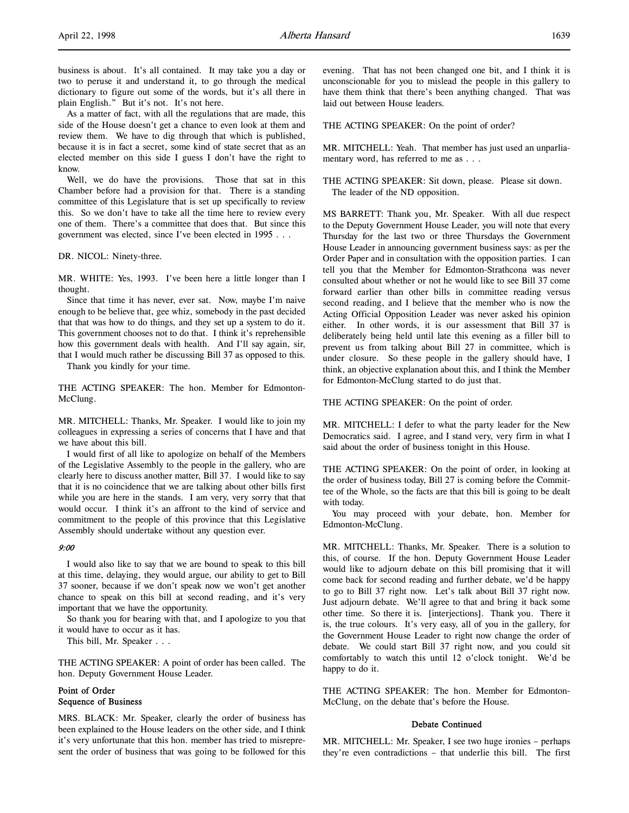business is about. It's all contained. It may take you a day or two to peruse it and understand it, to go through the medical dictionary to figure out some of the words, but it's all there in plain English." But it's not. It's not here.

As a matter of fact, with all the regulations that are made, this side of the House doesn't get a chance to even look at them and review them. We have to dig through that which is published, because it is in fact a secret, some kind of state secret that as an elected member on this side I guess I don't have the right to know.

Well, we do have the provisions. Those that sat in this Chamber before had a provision for that. There is a standing committee of this Legislature that is set up specifically to review this. So we don't have to take all the time here to review every one of them. There's a committee that does that. But since this government was elected, since I've been elected in 1995 . . .

DR. NICOL: Ninety-three.

MR. WHITE: Yes, 1993. I've been here a little longer than I thought.

Since that time it has never, ever sat. Now, maybe I'm naive enough to be believe that, gee whiz, somebody in the past decided that that was how to do things, and they set up a system to do it. This government chooses not to do that. I think it's reprehensible how this government deals with health. And I'll say again, sir, that I would much rather be discussing Bill 37 as opposed to this.

Thank you kindly for your time.

THE ACTING SPEAKER: The hon. Member for Edmonton-McClung.

MR. MITCHELL: Thanks, Mr. Speaker. I would like to join my colleagues in expressing a series of concerns that I have and that we have about this bill.

I would first of all like to apologize on behalf of the Members of the Legislative Assembly to the people in the gallery, who are clearly here to discuss another matter, Bill 37. I would like to say that it is no coincidence that we are talking about other bills first while you are here in the stands. I am very, very sorry that that would occur. I think it's an affront to the kind of service and commitment to the people of this province that this Legislative Assembly should undertake without any question ever.

#### 9:00

I would also like to say that we are bound to speak to this bill at this time, delaying, they would argue, our ability to get to Bill 37 sooner, because if we don't speak now we won't get another chance to speak on this bill at second reading, and it's very important that we have the opportunity.

So thank you for bearing with that, and I apologize to you that it would have to occur as it has.

This bill, Mr. Speaker . . .

THE ACTING SPEAKER: A point of order has been called. The hon. Deputy Government House Leader.

## Point of Order Sequence of Business

MRS. BLACK: Mr. Speaker, clearly the order of business has been explained to the House leaders on the other side, and I think it's very unfortunate that this hon. member has tried to misrepresent the order of business that was going to be followed for this evening. That has not been changed one bit, and I think it is unconscionable for you to mislead the people in this gallery to have them think that there's been anything changed. That was laid out between House leaders.

THE ACTING SPEAKER: On the point of order?

MR. MITCHELL: Yeah. That member has just used an unparliamentary word, has referred to me as . . .

THE ACTING SPEAKER: Sit down, please. Please sit down. The leader of the ND opposition.

MS BARRETT: Thank you, Mr. Speaker. With all due respect to the Deputy Government House Leader, you will note that every Thursday for the last two or three Thursdays the Government House Leader in announcing government business says: as per the Order Paper and in consultation with the opposition parties. I can tell you that the Member for Edmonton-Strathcona was never consulted about whether or not he would like to see Bill 37 come forward earlier than other bills in committee reading versus second reading, and I believe that the member who is now the Acting Official Opposition Leader was never asked his opinion either. In other words, it is our assessment that Bill 37 is deliberately being held until late this evening as a filler bill to prevent us from talking about Bill 27 in committee, which is under closure. So these people in the gallery should have, I think, an objective explanation about this, and I think the Member for Edmonton-McClung started to do just that.

THE ACTING SPEAKER: On the point of order.

MR. MITCHELL: I defer to what the party leader for the New Democratics said. I agree, and I stand very, very firm in what I said about the order of business tonight in this House.

THE ACTING SPEAKER: On the point of order, in looking at the order of business today, Bill 27 is coming before the Committee of the Whole, so the facts are that this bill is going to be dealt with today.

You may proceed with your debate, hon. Member for Edmonton-McClung.

MR. MITCHELL: Thanks, Mr. Speaker. There is a solution to this, of course. If the hon. Deputy Government House Leader would like to adjourn debate on this bill promising that it will come back for second reading and further debate, we'd be happy to go to Bill 37 right now. Let's talk about Bill 37 right now. Just adjourn debate. We'll agree to that and bring it back some other time. So there it is. [interjections]. Thank you. There it is, the true colours. It's very easy, all of you in the gallery, for the Government House Leader to right now change the order of debate. We could start Bill 37 right now, and you could sit comfortably to watch this until 12 o'clock tonight. We'd be happy to do it.

THE ACTING SPEAKER: The hon. Member for Edmonton-McClung, on the debate that's before the House.

### Debate Continued

MR. MITCHELL: Mr. Speaker, I see two huge ironies – perhaps they're even contradictions – that underlie this bill. The first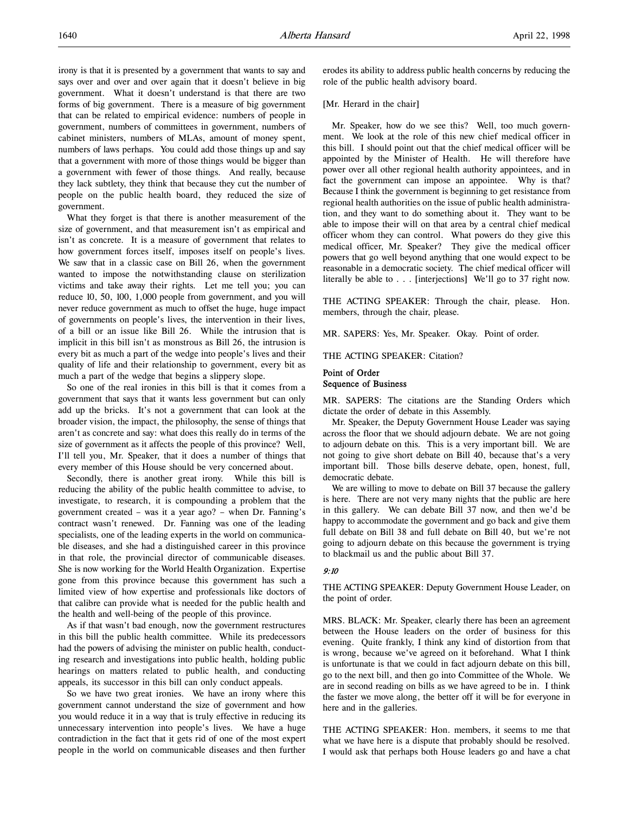irony is that it is presented by a government that wants to say and says over and over and over again that it doesn't believe in big government. What it doesn't understand is that there are two forms of big government. There is a measure of big government that can be related to empirical evidence: numbers of people in government, numbers of committees in government, numbers of cabinet ministers, numbers of MLAs, amount of money spent, numbers of laws perhaps. You could add those things up and say that a government with more of those things would be bigger than a government with fewer of those things. And really, because they lack subtlety, they think that because they cut the number of people on the public health board, they reduced the size of government.

What they forget is that there is another measurement of the size of government, and that measurement isn't as empirical and isn't as concrete. It is a measure of government that relates to how government forces itself, imposes itself on people's lives. We saw that in a classic case on Bill 26, when the government wanted to impose the notwithstanding clause on sterilization victims and take away their rights. Let me tell you; you can reduce 10, 50, 100, 1,000 people from government, and you will never reduce government as much to offset the huge, huge impact of governments on people's lives, the intervention in their lives, of a bill or an issue like Bill 26. While the intrusion that is implicit in this bill isn't as monstrous as Bill 26, the intrusion is every bit as much a part of the wedge into people's lives and their quality of life and their relationship to government, every bit as much a part of the wedge that begins a slippery slope.

So one of the real ironies in this bill is that it comes from a government that says that it wants less government but can only add up the bricks. It's not a government that can look at the broader vision, the impact, the philosophy, the sense of things that aren't as concrete and say: what does this really do in terms of the size of government as it affects the people of this province? Well, I'll tell you, Mr. Speaker, that it does a number of things that every member of this House should be very concerned about.

Secondly, there is another great irony. While this bill is reducing the ability of the public health committee to advise, to investigate, to research, it is compounding a problem that the government created – was it a year ago? – when Dr. Fanning's contract wasn't renewed. Dr. Fanning was one of the leading specialists, one of the leading experts in the world on communicable diseases, and she had a distinguished career in this province in that role, the provincial director of communicable diseases. She is now working for the World Health Organization. Expertise gone from this province because this government has such a limited view of how expertise and professionals like doctors of that calibre can provide what is needed for the public health and the health and well-being of the people of this province.

As if that wasn't bad enough, now the government restructures in this bill the public health committee. While its predecessors had the powers of advising the minister on public health, conducting research and investigations into public health, holding public hearings on matters related to public health, and conducting appeals, its successor in this bill can only conduct appeals.

So we have two great ironies. We have an irony where this government cannot understand the size of government and how you would reduce it in a way that is truly effective in reducing its unnecessary intervention into people's lives. We have a huge contradiction in the fact that it gets rid of one of the most expert people in the world on communicable diseases and then further

erodes its ability to address public health concerns by reducing the role of the public health advisory board.

### [Mr. Herard in the chair]

Mr. Speaker, how do we see this? Well, too much government. We look at the role of this new chief medical officer in this bill. I should point out that the chief medical officer will be appointed by the Minister of Health. He will therefore have power over all other regional health authority appointees, and in fact the government can impose an appointee. Why is that? Because I think the government is beginning to get resistance from regional health authorities on the issue of public health administration, and they want to do something about it. They want to be able to impose their will on that area by a central chief medical officer whom they can control. What powers do they give this medical officer, Mr. Speaker? They give the medical officer powers that go well beyond anything that one would expect to be reasonable in a democratic society. The chief medical officer will literally be able to . . . [interjections] We'll go to 37 right now.

THE ACTING SPEAKER: Through the chair, please. Hon. members, through the chair, please.

MR. SAPERS: Yes, Mr. Speaker. Okay. Point of order.

THE ACTING SPEAKER: Citation?

## Point of Order Sequence of Business

MR. SAPERS: The citations are the Standing Orders which dictate the order of debate in this Assembly.

Mr. Speaker, the Deputy Government House Leader was saying across the floor that we should adjourn debate. We are not going to adjourn debate on this. This is a very important bill. We are not going to give short debate on Bill 40, because that's a very important bill. Those bills deserve debate, open, honest, full, democratic debate.

We are willing to move to debate on Bill 37 because the gallery is here. There are not very many nights that the public are here in this gallery. We can debate Bill 37 now, and then we'd be happy to accommodate the government and go back and give them full debate on Bill 38 and full debate on Bill 40, but we're not going to adjourn debate on this because the government is trying to blackmail us and the public about Bill 37.

#### 9:10

THE ACTING SPEAKER: Deputy Government House Leader, on the point of order.

MRS. BLACK: Mr. Speaker, clearly there has been an agreement between the House leaders on the order of business for this evening. Quite frankly, I think any kind of distortion from that is wrong, because we've agreed on it beforehand. What I think is unfortunate is that we could in fact adjourn debate on this bill, go to the next bill, and then go into Committee of the Whole. We are in second reading on bills as we have agreed to be in. I think the faster we move along, the better off it will be for everyone in here and in the galleries.

THE ACTING SPEAKER: Hon. members, it seems to me that what we have here is a dispute that probably should be resolved. I would ask that perhaps both House leaders go and have a chat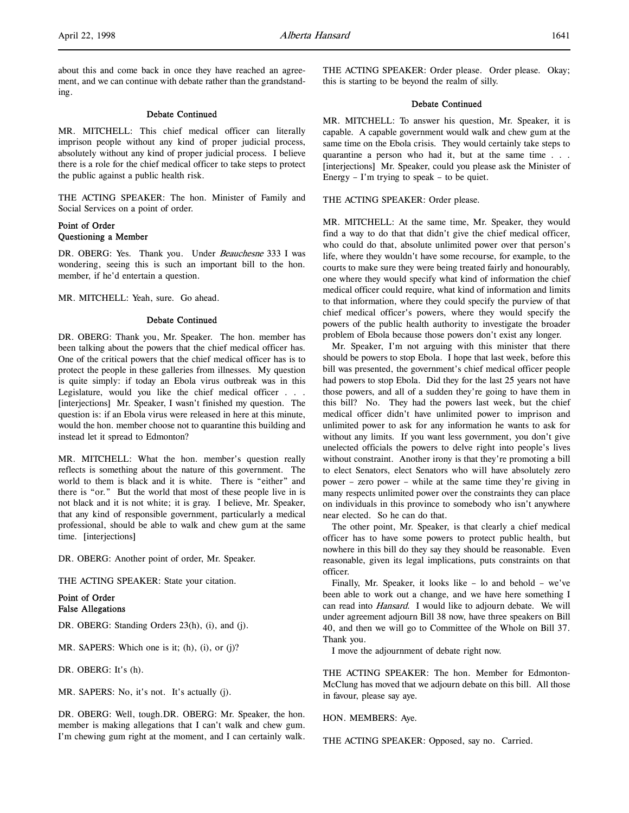about this and come back in once they have reached an agreement, and we can continue with debate rather than the grandstanding.

## Debate Continued

MR. MITCHELL: This chief medical officer can literally imprison people without any kind of proper judicial process, absolutely without any kind of proper judicial process. I believe there is a role for the chief medical officer to take steps to protect the public against a public health risk.

THE ACTING SPEAKER: The hon. Minister of Family and Social Services on a point of order.

# Point of Order Questioning a Member

DR. OBERG: Yes. Thank you. Under Beauchesne 333 I was wondering, seeing this is such an important bill to the hon. member, if he'd entertain a question.

MR. MITCHELL: Yeah, sure. Go ahead.

### Debate Continued

DR. OBERG: Thank you, Mr. Speaker. The hon. member has been talking about the powers that the chief medical officer has. One of the critical powers that the chief medical officer has is to protect the people in these galleries from illnesses. My question is quite simply: if today an Ebola virus outbreak was in this Legislature, would you like the chief medical officer . . . [interjections] Mr. Speaker, I wasn't finished my question. The question is: if an Ebola virus were released in here at this minute, would the hon. member choose not to quarantine this building and instead let it spread to Edmonton?

MR. MITCHELL: What the hon. member's question really reflects is something about the nature of this government. The world to them is black and it is white. There is "either" and there is "or." But the world that most of these people live in is not black and it is not white; it is gray. I believe, Mr. Speaker, that any kind of responsible government, particularly a medical professional, should be able to walk and chew gum at the same time. [interjections]

DR. OBERG: Another point of order, Mr. Speaker.

THE ACTING SPEAKER: State your citation.

Point of Order False Allegations

DR. OBERG: Standing Orders 23(h), (i), and (j).

MR. SAPERS: Which one is it; (h), (i), or (j)?

DR. OBERG: It's (h).

MR. SAPERS: No, it's not. It's actually (j).

DR. OBERG: Well, tough.DR. OBERG: Mr. Speaker, the hon. member is making allegations that I can't walk and chew gum. I'm chewing gum right at the moment, and I can certainly walk. THE ACTING SPEAKER: Order please. Order please. Okay; this is starting to be beyond the realm of silly.

#### Debate Continued

MR. MITCHELL: To answer his question, Mr. Speaker, it is capable. A capable government would walk and chew gum at the same time on the Ebola crisis. They would certainly take steps to quarantine a person who had it, but at the same time . . . [interjections] Mr. Speaker, could you please ask the Minister of Energy  $-$  I'm trying to speak  $-$  to be quiet.

THE ACTING SPEAKER: Order please.

MR. MITCHELL: At the same time, Mr. Speaker, they would find a way to do that that didn't give the chief medical officer, who could do that, absolute unlimited power over that person's life, where they wouldn't have some recourse, for example, to the courts to make sure they were being treated fairly and honourably, one where they would specify what kind of information the chief medical officer could require, what kind of information and limits to that information, where they could specify the purview of that chief medical officer's powers, where they would specify the powers of the public health authority to investigate the broader problem of Ebola because those powers don't exist any longer.

Mr. Speaker, I'm not arguing with this minister that there should be powers to stop Ebola. I hope that last week, before this bill was presented, the government's chief medical officer people had powers to stop Ebola. Did they for the last 25 years not have those powers, and all of a sudden they're going to have them in this bill? No. They had the powers last week, but the chief medical officer didn't have unlimited power to imprison and unlimited power to ask for any information he wants to ask for without any limits. If you want less government, you don't give unelected officials the powers to delve right into people's lives without constraint. Another irony is that they're promoting a bill to elect Senators, elect Senators who will have absolutely zero power – zero power – while at the same time they're giving in many respects unlimited power over the constraints they can place on individuals in this province to somebody who isn't anywhere near elected. So he can do that.

The other point, Mr. Speaker, is that clearly a chief medical officer has to have some powers to protect public health, but nowhere in this bill do they say they should be reasonable. Even reasonable, given its legal implications, puts constraints on that officer.

Finally, Mr. Speaker, it looks like – lo and behold – we've been able to work out a change, and we have here something I can read into *Hansard*. I would like to adjourn debate. We will under agreement adjourn Bill 38 now, have three speakers on Bill 40, and then we will go to Committee of the Whole on Bill 37. Thank you.

I move the adjournment of debate right now.

THE ACTING SPEAKER: The hon. Member for Edmonton-McClung has moved that we adjourn debate on this bill. All those in favour, please say aye.

HON. MEMBERS: Aye.

THE ACTING SPEAKER: Opposed, say no. Carried.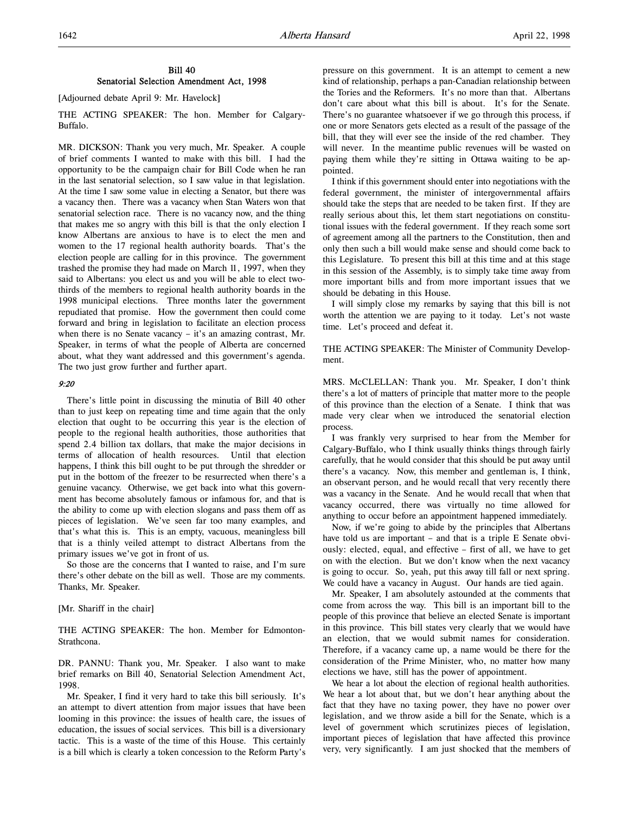## Bill 40 Senatorial Selection Amendment Act, 1998

[Adjourned debate April 9: Mr. Havelock]

THE ACTING SPEAKER: The hon. Member for Calgary-Buffalo.

MR. DICKSON: Thank you very much, Mr. Speaker. A couple of brief comments I wanted to make with this bill. I had the opportunity to be the campaign chair for Bill Code when he ran in the last senatorial selection, so I saw value in that legislation. At the time I saw some value in electing a Senator, but there was a vacancy then. There was a vacancy when Stan Waters won that senatorial selection race. There is no vacancy now, and the thing that makes me so angry with this bill is that the only election I know Albertans are anxious to have is to elect the men and women to the 17 regional health authority boards. That's the election people are calling for in this province. The government trashed the promise they had made on March 11, 1997, when they said to Albertans: you elect us and you will be able to elect twothirds of the members to regional health authority boards in the 1998 municipal elections. Three months later the government repudiated that promise. How the government then could come forward and bring in legislation to facilitate an election process when there is no Senate vacancy – it's an amazing contrast, Mr. Speaker, in terms of what the people of Alberta are concerned about, what they want addressed and this government's agenda. The two just grow further and further apart.

### 9:20

There's little point in discussing the minutia of Bill 40 other than to just keep on repeating time and time again that the only election that ought to be occurring this year is the election of people to the regional health authorities, those authorities that spend 2.4 billion tax dollars, that make the major decisions in terms of allocation of health resources. Until that election happens, I think this bill ought to be put through the shredder or put in the bottom of the freezer to be resurrected when there's a genuine vacancy. Otherwise, we get back into what this government has become absolutely famous or infamous for, and that is the ability to come up with election slogans and pass them off as pieces of legislation. We've seen far too many examples, and that's what this is. This is an empty, vacuous, meaningless bill that is a thinly veiled attempt to distract Albertans from the primary issues we've got in front of us.

So those are the concerns that I wanted to raise, and I'm sure there's other debate on the bill as well. Those are my comments. Thanks, Mr. Speaker.

[Mr. Shariff in the chair]

THE ACTING SPEAKER: The hon. Member for Edmonton-Strathcona.

DR. PANNU: Thank you, Mr. Speaker. I also want to make brief remarks on Bill 40, Senatorial Selection Amendment Act, 1998.

Mr. Speaker, I find it very hard to take this bill seriously. It's an attempt to divert attention from major issues that have been looming in this province: the issues of health care, the issues of education, the issues of social services. This bill is a diversionary tactic. This is a waste of the time of this House. This certainly is a bill which is clearly a token concession to the Reform Party's

pressure on this government. It is an attempt to cement a new kind of relationship, perhaps a pan-Canadian relationship between the Tories and the Reformers. It's no more than that. Albertans don't care about what this bill is about. It's for the Senate. There's no guarantee whatsoever if we go through this process, if one or more Senators gets elected as a result of the passage of the bill, that they will ever see the inside of the red chamber. They will never. In the meantime public revenues will be wasted on paying them while they're sitting in Ottawa waiting to be appointed.

I think if this government should enter into negotiations with the federal government, the minister of intergovernmental affairs should take the steps that are needed to be taken first. If they are really serious about this, let them start negotiations on constitutional issues with the federal government. If they reach some sort of agreement among all the partners to the Constitution, then and only then such a bill would make sense and should come back to this Legislature. To present this bill at this time and at this stage in this session of the Assembly, is to simply take time away from more important bills and from more important issues that we should be debating in this House.

I will simply close my remarks by saying that this bill is not worth the attention we are paying to it today. Let's not waste time. Let's proceed and defeat it.

THE ACTING SPEAKER: The Minister of Community Development.

MRS. McCLELLAN: Thank you. Mr. Speaker, I don't think there's a lot of matters of principle that matter more to the people of this province than the election of a Senate. I think that was made very clear when we introduced the senatorial election process.

I was frankly very surprised to hear from the Member for Calgary-Buffalo, who I think usually thinks things through fairly carefully, that he would consider that this should be put away until there's a vacancy. Now, this member and gentleman is, I think, an observant person, and he would recall that very recently there was a vacancy in the Senate. And he would recall that when that vacancy occurred, there was virtually no time allowed for anything to occur before an appointment happened immediately.

Now, if we're going to abide by the principles that Albertans have told us are important – and that is a triple E Senate obviously: elected, equal, and effective – first of all, we have to get on with the election. But we don't know when the next vacancy is going to occur. So, yeah, put this away till fall or next spring. We could have a vacancy in August. Our hands are tied again.

Mr. Speaker, I am absolutely astounded at the comments that come from across the way. This bill is an important bill to the people of this province that believe an elected Senate is important in this province. This bill states very clearly that we would have an election, that we would submit names for consideration. Therefore, if a vacancy came up, a name would be there for the consideration of the Prime Minister, who, no matter how many elections we have, still has the power of appointment.

We hear a lot about the election of regional health authorities. We hear a lot about that, but we don't hear anything about the fact that they have no taxing power, they have no power over legislation, and we throw aside a bill for the Senate, which is a level of government which scrutinizes pieces of legislation, important pieces of legislation that have affected this province very, very significantly. I am just shocked that the members of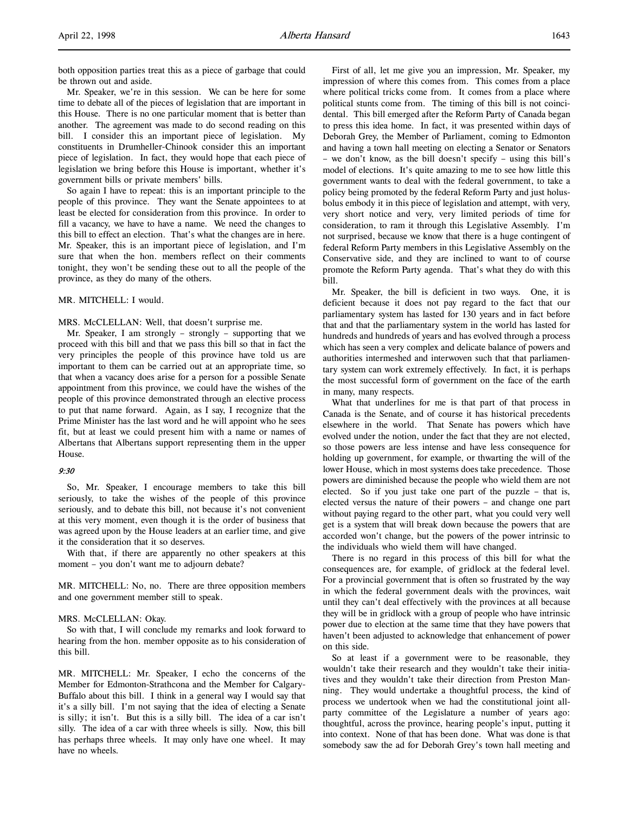Mr. Speaker, we're in this session. We can be here for some time to debate all of the pieces of legislation that are important in this House. There is no one particular moment that is better than another. The agreement was made to do second reading on this bill. I consider this an important piece of legislation. My constituents in Drumheller-Chinook consider this an important piece of legislation. In fact, they would hope that each piece of legislation we bring before this House is important, whether it's government bills or private members' bills.

So again I have to repeat: this is an important principle to the people of this province. They want the Senate appointees to at least be elected for consideration from this province. In order to fill a vacancy, we have to have a name. We need the changes to this bill to effect an election. That's what the changes are in here. Mr. Speaker, this is an important piece of legislation, and I'm sure that when the hon. members reflect on their comments tonight, they won't be sending these out to all the people of the province, as they do many of the others.

#### MR. MITCHELL: I would.

# MRS. McCLELLAN: Well, that doesn't surprise me.

Mr. Speaker, I am strongly – strongly – supporting that we proceed with this bill and that we pass this bill so that in fact the very principles the people of this province have told us are important to them can be carried out at an appropriate time, so that when a vacancy does arise for a person for a possible Senate appointment from this province, we could have the wishes of the people of this province demonstrated through an elective process to put that name forward. Again, as I say, I recognize that the Prime Minister has the last word and he will appoint who he sees fit, but at least we could present him with a name or names of Albertans that Albertans support representing them in the upper House.

#### 9:30

So, Mr. Speaker, I encourage members to take this bill seriously, to take the wishes of the people of this province seriously, and to debate this bill, not because it's not convenient at this very moment, even though it is the order of business that was agreed upon by the House leaders at an earlier time, and give it the consideration that it so deserves.

With that, if there are apparently no other speakers at this moment – you don't want me to adjourn debate?

MR. MITCHELL: No, no. There are three opposition members and one government member still to speak.

#### MRS. McCLELLAN: Okay.

So with that, I will conclude my remarks and look forward to hearing from the hon. member opposite as to his consideration of this bill.

MR. MITCHELL: Mr. Speaker, I echo the concerns of the Member for Edmonton-Strathcona and the Member for Calgary-Buffalo about this bill. I think in a general way I would say that it's a silly bill. I'm not saying that the idea of electing a Senate is silly; it isn't. But this is a silly bill. The idea of a car isn't silly. The idea of a car with three wheels is silly. Now, this bill has perhaps three wheels. It may only have one wheel. It may have no wheels.

First of all, let me give you an impression, Mr. Speaker, my impression of where this comes from. This comes from a place where political tricks come from. It comes from a place where political stunts come from. The timing of this bill is not coincidental. This bill emerged after the Reform Party of Canada began to press this idea home. In fact, it was presented within days of Deborah Grey, the Member of Parliament, coming to Edmonton and having a town hall meeting on electing a Senator or Senators – we don't know, as the bill doesn't specify – using this bill's model of elections. It's quite amazing to me to see how little this government wants to deal with the federal government, to take a policy being promoted by the federal Reform Party and just holusbolus embody it in this piece of legislation and attempt, with very, very short notice and very, very limited periods of time for consideration, to ram it through this Legislative Assembly. I'm not surprised, because we know that there is a huge contingent of federal Reform Party members in this Legislative Assembly on the Conservative side, and they are inclined to want to of course promote the Reform Party agenda. That's what they do with this bill.

Mr. Speaker, the bill is deficient in two ways. One, it is deficient because it does not pay regard to the fact that our parliamentary system has lasted for 130 years and in fact before that and that the parliamentary system in the world has lasted for hundreds and hundreds of years and has evolved through a process which has seen a very complex and delicate balance of powers and authorities intermeshed and interwoven such that that parliamentary system can work extremely effectively. In fact, it is perhaps the most successful form of government on the face of the earth in many, many respects.

What that underlines for me is that part of that process in Canada is the Senate, and of course it has historical precedents elsewhere in the world. That Senate has powers which have evolved under the notion, under the fact that they are not elected, so those powers are less intense and have less consequence for holding up government, for example, or thwarting the will of the lower House, which in most systems does take precedence. Those powers are diminished because the people who wield them are not elected. So if you just take one part of the puzzle – that is, elected versus the nature of their powers – and change one part without paying regard to the other part, what you could very well get is a system that will break down because the powers that are accorded won't change, but the powers of the power intrinsic to the individuals who wield them will have changed.

There is no regard in this process of this bill for what the consequences are, for example, of gridlock at the federal level. For a provincial government that is often so frustrated by the way in which the federal government deals with the provinces, wait until they can't deal effectively with the provinces at all because they will be in gridlock with a group of people who have intrinsic power due to election at the same time that they have powers that haven't been adjusted to acknowledge that enhancement of power on this side.

So at least if a government were to be reasonable, they wouldn't take their research and they wouldn't take their initiatives and they wouldn't take their direction from Preston Manning. They would undertake a thoughtful process, the kind of process we undertook when we had the constitutional joint allparty committee of the Legislature a number of years ago: thoughtful, across the province, hearing people's input, putting it into context. None of that has been done. What was done is that somebody saw the ad for Deborah Grey's town hall meeting and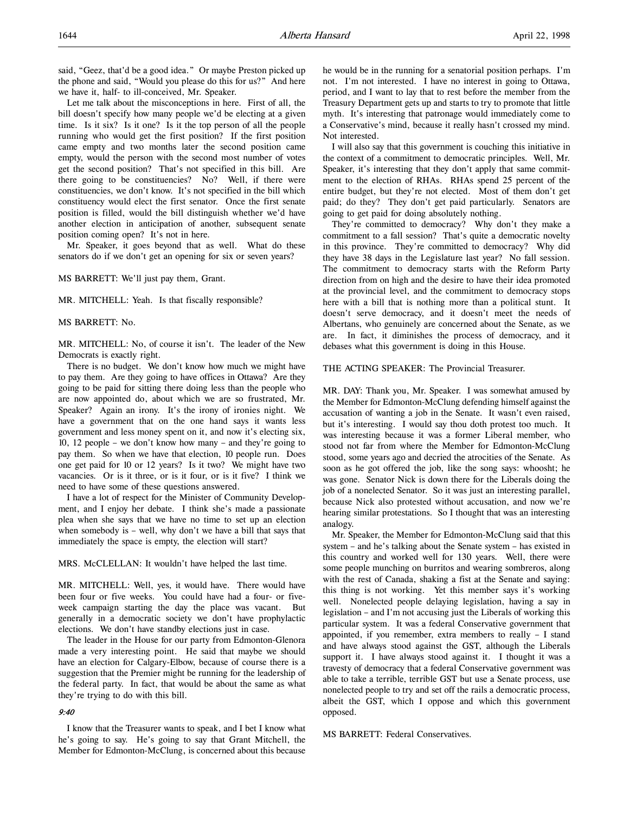said, "Geez, that'd be a good idea." Or maybe Preston picked up the phone and said, "Would you please do this for us?" And here we have it, half- to ill-conceived, Mr. Speaker.

Let me talk about the misconceptions in here. First of all, the bill doesn't specify how many people we'd be electing at a given time. Is it six? Is it one? Is it the top person of all the people running who would get the first position? If the first position came empty and two months later the second position came empty, would the person with the second most number of votes get the second position? That's not specified in this bill. Are there going to be constituencies? No? Well, if there were constituencies, we don't know. It's not specified in the bill which constituency would elect the first senator. Once the first senate position is filled, would the bill distinguish whether we'd have another election in anticipation of another, subsequent senate position coming open? It's not in here.

Mr. Speaker, it goes beyond that as well. What do these senators do if we don't get an opening for six or seven years?

MS BARRETT: We'll just pay them, Grant.

MR. MITCHELL: Yeah. Is that fiscally responsible?

MS BARRETT: No.

MR. MITCHELL: No, of course it isn't. The leader of the New Democrats is exactly right.

There is no budget. We don't know how much we might have to pay them. Are they going to have offices in Ottawa? Are they going to be paid for sitting there doing less than the people who are now appointed do, about which we are so frustrated, Mr. Speaker? Again an irony. It's the irony of ironies night. We have a government that on the one hand says it wants less government and less money spent on it, and now it's electing six, 10, 12 people – we don't know how many – and they're going to pay them. So when we have that election, 10 people run. Does one get paid for 10 or 12 years? Is it two? We might have two vacancies. Or is it three, or is it four, or is it five? I think we need to have some of these questions answered.

I have a lot of respect for the Minister of Community Development, and I enjoy her debate. I think she's made a passionate plea when she says that we have no time to set up an election when somebody is – well, why don't we have a bill that says that immediately the space is empty, the election will start?

MRS. McCLELLAN: It wouldn't have helped the last time.

MR. MITCHELL: Well, yes, it would have. There would have been four or five weeks. You could have had a four- or fiveweek campaign starting the day the place was vacant. But generally in a democratic society we don't have prophylactic elections. We don't have standby elections just in case.

The leader in the House for our party from Edmonton-Glenora made a very interesting point. He said that maybe we should have an election for Calgary-Elbow, because of course there is a suggestion that the Premier might be running for the leadership of the federal party. In fact, that would be about the same as what they're trying to do with this bill.

## 9:40

I know that the Treasurer wants to speak, and I bet I know what he's going to say. He's going to say that Grant Mitchell, the Member for Edmonton-McClung, is concerned about this because

he would be in the running for a senatorial position perhaps. I'm not. I'm not interested. I have no interest in going to Ottawa, period, and I want to lay that to rest before the member from the Treasury Department gets up and starts to try to promote that little myth. It's interesting that patronage would immediately come to a Conservative's mind, because it really hasn't crossed my mind. Not interested.

I will also say that this government is couching this initiative in the context of a commitment to democratic principles. Well, Mr. Speaker, it's interesting that they don't apply that same commitment to the election of RHAs. RHAs spend 25 percent of the entire budget, but they're not elected. Most of them don't get paid; do they? They don't get paid particularly. Senators are going to get paid for doing absolutely nothing.

They're committed to democracy? Why don't they make a commitment to a fall session? That's quite a democratic novelty in this province. They're committed to democracy? Why did they have 38 days in the Legislature last year? No fall session. The commitment to democracy starts with the Reform Party direction from on high and the desire to have their idea promoted at the provincial level, and the commitment to democracy stops here with a bill that is nothing more than a political stunt. It doesn't serve democracy, and it doesn't meet the needs of Albertans, who genuinely are concerned about the Senate, as we are. In fact, it diminishes the process of democracy, and it debases what this government is doing in this House.

## THE ACTING SPEAKER: The Provincial Treasurer.

MR. DAY: Thank you, Mr. Speaker. I was somewhat amused by the Member for Edmonton-McClung defending himself against the accusation of wanting a job in the Senate. It wasn't even raised, but it's interesting. I would say thou doth protest too much. It was interesting because it was a former Liberal member, who stood not far from where the Member for Edmonton-McClung stood, some years ago and decried the atrocities of the Senate. As soon as he got offered the job, like the song says: whoosht; he was gone. Senator Nick is down there for the Liberals doing the job of a nonelected Senator. So it was just an interesting parallel, because Nick also protested without accusation, and now we're hearing similar protestations. So I thought that was an interesting analogy.

Mr. Speaker, the Member for Edmonton-McClung said that this system – and he's talking about the Senate system – has existed in this country and worked well for 130 years. Well, there were some people munching on burritos and wearing sombreros, along with the rest of Canada, shaking a fist at the Senate and saying: this thing is not working. Yet this member says it's working well. Nonelected people delaying legislation, having a say in legislation – and I'm not accusing just the Liberals of working this particular system. It was a federal Conservative government that appointed, if you remember, extra members to really – I stand and have always stood against the GST, although the Liberals support it. I have always stood against it. I thought it was a travesty of democracy that a federal Conservative government was able to take a terrible, terrible GST but use a Senate process, use nonelected people to try and set off the rails a democratic process, albeit the GST, which I oppose and which this government opposed.

MS BARRETT: Federal Conservatives.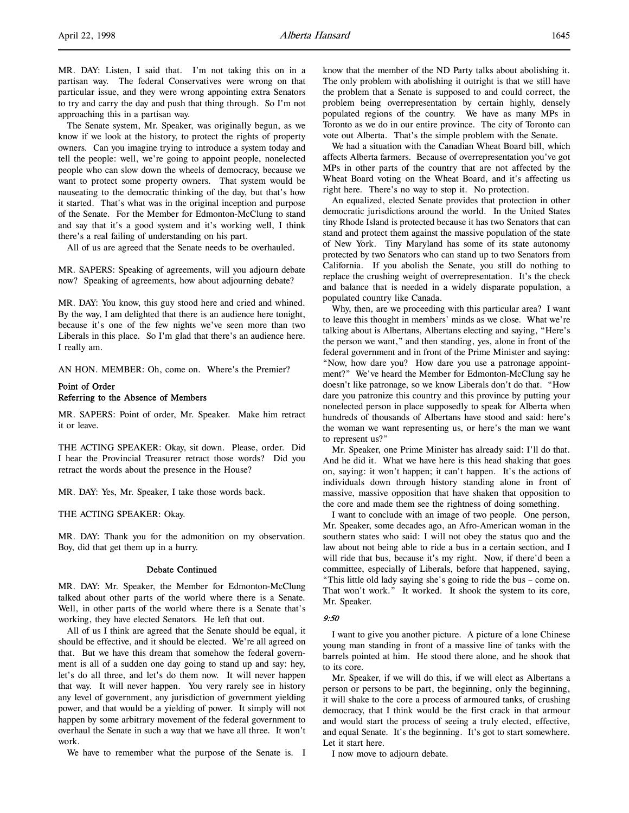MR. DAY: Listen, I said that. I'm not taking this on in a partisan way. The federal Conservatives were wrong on that particular issue, and they were wrong appointing extra Senators to try and carry the day and push that thing through. So I'm not approaching this in a partisan way.

The Senate system, Mr. Speaker, was originally begun, as we know if we look at the history, to protect the rights of property owners. Can you imagine trying to introduce a system today and tell the people: well, we're going to appoint people, nonelected people who can slow down the wheels of democracy, because we want to protect some property owners. That system would be nauseating to the democratic thinking of the day, but that's how it started. That's what was in the original inception and purpose of the Senate. For the Member for Edmonton-McClung to stand and say that it's a good system and it's working well, I think there's a real failing of understanding on his part.

All of us are agreed that the Senate needs to be overhauled.

MR. SAPERS: Speaking of agreements, will you adjourn debate now? Speaking of agreements, how about adjourning debate?

MR. DAY: You know, this guy stood here and cried and whined. By the way, I am delighted that there is an audience here tonight, because it's one of the few nights we've seen more than two Liberals in this place. So I'm glad that there's an audience here. I really am.

AN HON. MEMBER: Oh, come on. Where's the Premier?

## Point of Order Referring to the Absence of Members

MR. SAPERS: Point of order, Mr. Speaker. Make him retract it or leave.

THE ACTING SPEAKER: Okay, sit down. Please, order. Did I hear the Provincial Treasurer retract those words? Did you retract the words about the presence in the House?

MR. DAY: Yes, Mr. Speaker, I take those words back.

THE ACTING SPEAKER: Okay.

MR. DAY: Thank you for the admonition on my observation. Boy, did that get them up in a hurry.

#### Debate Continued

MR. DAY: Mr. Speaker, the Member for Edmonton-McClung talked about other parts of the world where there is a Senate. Well, in other parts of the world where there is a Senate that's working, they have elected Senators. He left that out.

All of us I think are agreed that the Senate should be equal, it should be effective, and it should be elected. We're all agreed on that. But we have this dream that somehow the federal government is all of a sudden one day going to stand up and say: hey, let's do all three, and let's do them now. It will never happen that way. It will never happen. You very rarely see in history any level of government, any jurisdiction of government yielding power, and that would be a yielding of power. It simply will not happen by some arbitrary movement of the federal government to overhaul the Senate in such a way that we have all three. It won't work.

We have to remember what the purpose of the Senate is. I

know that the member of the ND Party talks about abolishing it. The only problem with abolishing it outright is that we still have the problem that a Senate is supposed to and could correct, the problem being overrepresentation by certain highly, densely populated regions of the country. We have as many MPs in Toronto as we do in our entire province. The city of Toronto can vote out Alberta. That's the simple problem with the Senate.

We had a situation with the Canadian Wheat Board bill, which affects Alberta farmers. Because of overrepresentation you've got MPs in other parts of the country that are not affected by the Wheat Board voting on the Wheat Board, and it's affecting us right here. There's no way to stop it. No protection.

An equalized, elected Senate provides that protection in other democratic jurisdictions around the world. In the United States tiny Rhode Island is protected because it has two Senators that can stand and protect them against the massive population of the state of New York. Tiny Maryland has some of its state autonomy protected by two Senators who can stand up to two Senators from California. If you abolish the Senate, you still do nothing to replace the crushing weight of overrepresentation. It's the check and balance that is needed in a widely disparate population, a populated country like Canada.

Why, then, are we proceeding with this particular area? I want to leave this thought in members' minds as we close. What we're talking about is Albertans, Albertans electing and saying, "Here's the person we want," and then standing, yes, alone in front of the federal government and in front of the Prime Minister and saying: "Now, how dare you? How dare you use a patronage appointment?" We've heard the Member for Edmonton-McClung say he doesn't like patronage, so we know Liberals don't do that. "How dare you patronize this country and this province by putting your nonelected person in place supposedly to speak for Alberta when hundreds of thousands of Albertans have stood and said: here's the woman we want representing us, or here's the man we want to represent us?"

Mr. Speaker, one Prime Minister has already said: I'll do that. And he did it. What we have here is this head shaking that goes on, saying: it won't happen; it can't happen. It's the actions of individuals down through history standing alone in front of massive, massive opposition that have shaken that opposition to the core and made them see the rightness of doing something.

I want to conclude with an image of two people. One person, Mr. Speaker, some decades ago, an Afro-American woman in the southern states who said: I will not obey the status quo and the law about not being able to ride a bus in a certain section, and I will ride that bus, because it's my right. Now, if there'd been a committee, especially of Liberals, before that happened, saying, "This little old lady saying she's going to ride the bus – come on. That won't work." It worked. It shook the system to its core, Mr. Speaker.

#### 9:50

I want to give you another picture. A picture of a lone Chinese young man standing in front of a massive line of tanks with the barrels pointed at him. He stood there alone, and he shook that to its core.

Mr. Speaker, if we will do this, if we will elect as Albertans a person or persons to be part, the beginning, only the beginning, it will shake to the core a process of armoured tanks, of crushing democracy, that I think would be the first crack in that armour and would start the process of seeing a truly elected, effective, and equal Senate. It's the beginning. It's got to start somewhere. Let it start here.

I now move to adjourn debate.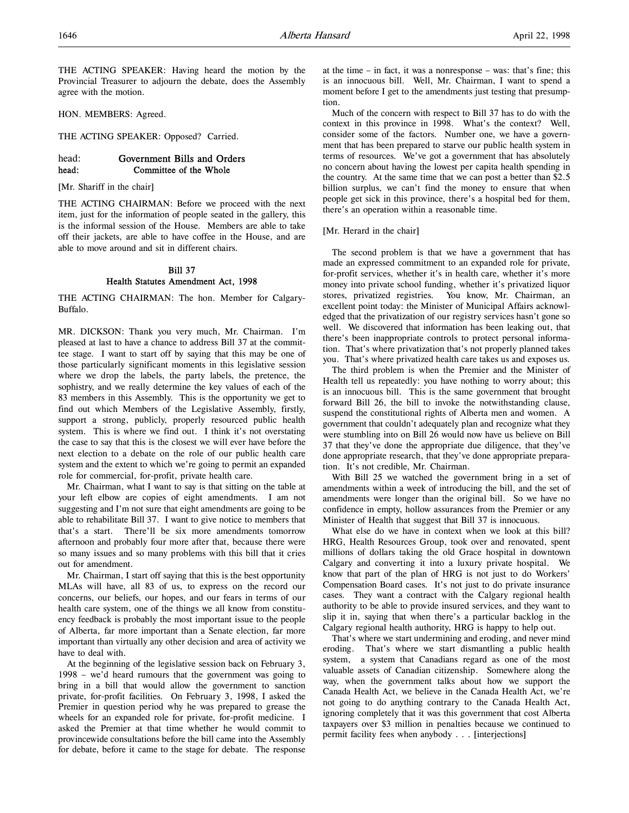HON. MEMBERS: Agreed.

THE ACTING SPEAKER: Opposed? Carried.

# head: Government Bills and Orders head: Committee of the Whole

[Mr. Shariff in the chair]

THE ACTING CHAIRMAN: Before we proceed with the next item, just for the information of people seated in the gallery, this is the informal session of the House. Members are able to take off their jackets, are able to have coffee in the House, and are able to move around and sit in different chairs.

# Bill 37 Health Statutes Amendment Act, 1998

THE ACTING CHAIRMAN: The hon. Member for Calgary-Buffalo.

MR. DICKSON: Thank you very much, Mr. Chairman. I'm pleased at last to have a chance to address Bill 37 at the committee stage. I want to start off by saying that this may be one of those particularly significant moments in this legislative session where we drop the labels, the party labels, the pretence, the sophistry, and we really determine the key values of each of the 83 members in this Assembly. This is the opportunity we get to find out which Members of the Legislative Assembly, firstly, support a strong, publicly, properly resourced public health system. This is where we find out. I think it's not overstating the case to say that this is the closest we will ever have before the next election to a debate on the role of our public health care system and the extent to which we're going to permit an expanded role for commercial, for-profit, private health care.

Mr. Chairman, what I want to say is that sitting on the table at your left elbow are copies of eight amendments. I am not suggesting and I'm not sure that eight amendments are going to be able to rehabilitate Bill 37. I want to give notice to members that that's a start. There'll be six more amendments tomorrow afternoon and probably four more after that, because there were so many issues and so many problems with this bill that it cries out for amendment.

Mr. Chairman, I start off saying that this is the best opportunity MLAs will have, all 83 of us, to express on the record our concerns, our beliefs, our hopes, and our fears in terms of our health care system, one of the things we all know from constituency feedback is probably the most important issue to the people of Alberta, far more important than a Senate election, far more important than virtually any other decision and area of activity we have to deal with.

At the beginning of the legislative session back on February 3, 1998 – we'd heard rumours that the government was going to bring in a bill that would allow the government to sanction private, for-profit facilities. On February 3, 1998, I asked the Premier in question period why he was prepared to grease the wheels for an expanded role for private, for-profit medicine. I asked the Premier at that time whether he would commit to provincewide consultations before the bill came into the Assembly for debate, before it came to the stage for debate. The response

at the time – in fact, it was a nonresponse – was: that's fine; this is an innocuous bill. Well, Mr. Chairman, I want to spend a moment before I get to the amendments just testing that presumption.

Much of the concern with respect to Bill 37 has to do with the context in this province in 1998. What's the context? Well, consider some of the factors. Number one, we have a government that has been prepared to starve our public health system in terms of resources. We've got a government that has absolutely no concern about having the lowest per capita health spending in the country. At the same time that we can post a better than \$2.5 billion surplus, we can't find the money to ensure that when people get sick in this province, there's a hospital bed for them, there's an operation within a reasonable time.

[Mr. Herard in the chair]

The second problem is that we have a government that has made an expressed commitment to an expanded role for private, for-profit services, whether it's in health care, whether it's more money into private school funding, whether it's privatized liquor stores, privatized registries. You know, Mr. Chairman, an excellent point today: the Minister of Municipal Affairs acknowledged that the privatization of our registry services hasn't gone so well. We discovered that information has been leaking out, that there's been inappropriate controls to protect personal information. That's where privatization that's not properly planned takes you. That's where privatized health care takes us and exposes us.

The third problem is when the Premier and the Minister of Health tell us repeatedly: you have nothing to worry about; this is an innocuous bill. This is the same government that brought forward Bill 26, the bill to invoke the notwithstanding clause, suspend the constitutional rights of Alberta men and women. A government that couldn't adequately plan and recognize what they were stumbling into on Bill 26 would now have us believe on Bill 37 that they've done the appropriate due diligence, that they've done appropriate research, that they've done appropriate preparation. It's not credible, Mr. Chairman.

With Bill 25 we watched the government bring in a set of amendments within a week of introducing the bill, and the set of amendments were longer than the original bill. So we have no confidence in empty, hollow assurances from the Premier or any Minister of Health that suggest that Bill 37 is innocuous.

What else do we have in context when we look at this bill? HRG, Health Resources Group, took over and renovated, spent millions of dollars taking the old Grace hospital in downtown Calgary and converting it into a luxury private hospital. We know that part of the plan of HRG is not just to do Workers' Compensation Board cases. It's not just to do private insurance cases. They want a contract with the Calgary regional health authority to be able to provide insured services, and they want to slip it in, saying that when there's a particular backlog in the Calgary regional health authority, HRG is happy to help out.

That's where we start undermining and eroding, and never mind eroding. That's where we start dismantling a public health system, a system that Canadians regard as one of the most valuable assets of Canadian citizenship. Somewhere along the way, when the government talks about how we support the Canada Health Act, we believe in the Canada Health Act, we're not going to do anything contrary to the Canada Health Act, ignoring completely that it was this government that cost Alberta taxpayers over \$3 million in penalties because we continued to permit facility fees when anybody . . . [interjections]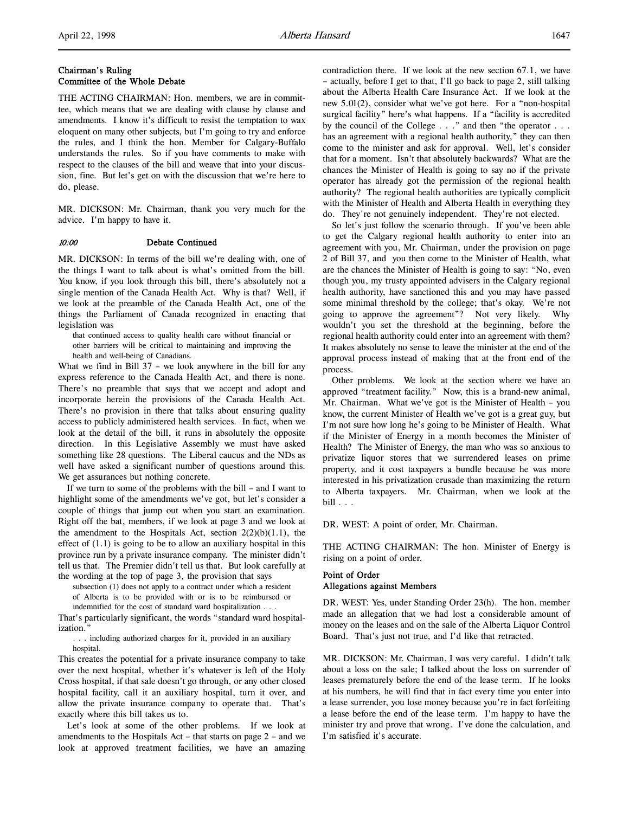# Chairman's Ruling Committee of the Whole Debate

THE ACTING CHAIRMAN: Hon. members, we are in committee, which means that we are dealing with clause by clause and amendments. I know it's difficult to resist the temptation to wax eloquent on many other subjects, but I'm going to try and enforce the rules, and I think the hon. Member for Calgary-Buffalo understands the rules. So if you have comments to make with respect to the clauses of the bill and weave that into your discussion, fine. But let's get on with the discussion that we're here to do, please.

MR. DICKSON: Mr. Chairman, thank you very much for the advice. I'm happy to have it.

## 10:00 Debate Continued

MR. DICKSON: In terms of the bill we're dealing with, one of the things I want to talk about is what's omitted from the bill. You know, if you look through this bill, there's absolutely not a single mention of the Canada Health Act. Why is that? Well, if we look at the preamble of the Canada Health Act, one of the things the Parliament of Canada recognized in enacting that legislation was

that continued access to quality health care without financial or other barriers will be critical to maintaining and improving the health and well-being of Canadians.

What we find in Bill 37 – we look anywhere in the bill for any express reference to the Canada Health Act, and there is none. There's no preamble that says that we accept and adopt and incorporate herein the provisions of the Canada Health Act. There's no provision in there that talks about ensuring quality access to publicly administered health services. In fact, when we look at the detail of the bill, it runs in absolutely the opposite direction. In this Legislative Assembly we must have asked something like 28 questions. The Liberal caucus and the NDs as well have asked a significant number of questions around this. We get assurances but nothing concrete.

If we turn to some of the problems with the bill – and I want to highlight some of the amendments we've got, but let's consider a couple of things that jump out when you start an examination. Right off the bat, members, if we look at page 3 and we look at the amendment to the Hospitals Act, section  $2(2)(b)(1.1)$ , the effect of  $(1.1)$  is going to be to allow an auxiliary hospital in this province run by a private insurance company. The minister didn't tell us that. The Premier didn't tell us that. But look carefully at the wording at the top of page 3, the provision that says

subsection (1) does not apply to a contract under which a resident of Alberta is to be provided with or is to be reimbursed or indemnified for the cost of standard ward hospitalization . . .

That's particularly significant, the words "standard ward hospitalization."

. . . including authorized charges for it, provided in an auxiliary hospital.

This creates the potential for a private insurance company to take over the next hospital, whether it's whatever is left of the Holy Cross hospital, if that sale doesn't go through, or any other closed hospital facility, call it an auxiliary hospital, turn it over, and allow the private insurance company to operate that. That's exactly where this bill takes us to.

Let's look at some of the other problems. If we look at amendments to the Hospitals Act – that starts on page  $2$  – and we look at approved treatment facilities, we have an amazing

contradiction there. If we look at the new section 67.1, we have – actually, before I get to that, I'll go back to page 2, still talking about the Alberta Health Care Insurance Act. If we look at the new 5.01(2), consider what we've got here. For a "non-hospital surgical facility" here's what happens. If a "facility is accredited by the council of the College . . ." and then "the operator . . . has an agreement with a regional health authority," they can then come to the minister and ask for approval. Well, let's consider that for a moment. Isn't that absolutely backwards? What are the chances the Minister of Health is going to say no if the private operator has already got the permission of the regional health authority? The regional health authorities are typically complicit with the Minister of Health and Alberta Health in everything they do. They're not genuinely independent. They're not elected.

So let's just follow the scenario through. If you've been able to get the Calgary regional health authority to enter into an agreement with you, Mr. Chairman, under the provision on page 2 of Bill 37, and you then come to the Minister of Health, what are the chances the Minister of Health is going to say: "No, even though you, my trusty appointed advisers in the Calgary regional health authority, have sanctioned this and you may have passed some minimal threshold by the college; that's okay. We're not going to approve the agreement"? Not very likely. Why wouldn't you set the threshold at the beginning, before the regional health authority could enter into an agreement with them? It makes absolutely no sense to leave the minister at the end of the approval process instead of making that at the front end of the process.

Other problems. We look at the section where we have an approved "treatment facility." Now, this is a brand-new animal, Mr. Chairman. What we've got is the Minister of Health – you know, the current Minister of Health we've got is a great guy, but I'm not sure how long he's going to be Minister of Health. What if the Minister of Energy in a month becomes the Minister of Health? The Minister of Energy, the man who was so anxious to privatize liquor stores that we surrendered leases on prime property, and it cost taxpayers a bundle because he was more interested in his privatization crusade than maximizing the return to Alberta taxpayers. Mr. Chairman, when we look at the bill . . .

DR. WEST: A point of order, Mr. Chairman.

THE ACTING CHAIRMAN: The hon. Minister of Energy is rising on a point of order.

# Point of Order Allegations against Members

DR. WEST: Yes, under Standing Order 23(h). The hon. member made an allegation that we had lost a considerable amount of money on the leases and on the sale of the Alberta Liquor Control Board. That's just not true, and I'd like that retracted.

MR. DICKSON: Mr. Chairman, I was very careful. I didn't talk about a loss on the sale; I talked about the loss on surrender of leases prematurely before the end of the lease term. If he looks at his numbers, he will find that in fact every time you enter into a lease surrender, you lose money because you're in fact forfeiting a lease before the end of the lease term. I'm happy to have the minister try and prove that wrong. I've done the calculation, and I'm satisfied it's accurate.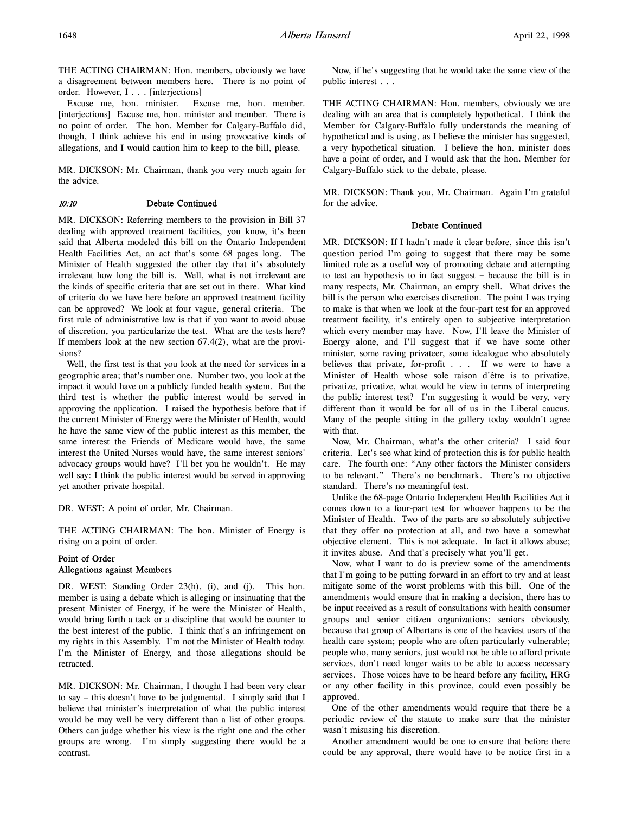THE ACTING CHAIRMAN: Hon. members, obviously we have a disagreement between members here. There is no point of order. However, I . . . [interjections]

Excuse me, hon. minister. Excuse me, hon. member. [interjections] Excuse me, hon. minister and member. There is no point of order. The hon. Member for Calgary-Buffalo did, though, I think achieve his end in using provocative kinds of allegations, and I would caution him to keep to the bill, please.

MR. DICKSON: Mr. Chairman, thank you very much again for the advice.

## 10:10 Debate Continued

MR. DICKSON: Referring members to the provision in Bill 37 dealing with approved treatment facilities, you know, it's been said that Alberta modeled this bill on the Ontario Independent Health Facilities Act, an act that's some 68 pages long. The Minister of Health suggested the other day that it's absolutely irrelevant how long the bill is. Well, what is not irrelevant are the kinds of specific criteria that are set out in there. What kind of criteria do we have here before an approved treatment facility can be approved? We look at four vague, general criteria. The first rule of administrative law is that if you want to avoid abuse of discretion, you particularize the test. What are the tests here? If members look at the new section 67.4(2), what are the provisions?

Well, the first test is that you look at the need for services in a geographic area; that's number one. Number two, you look at the impact it would have on a publicly funded health system. But the third test is whether the public interest would be served in approving the application. I raised the hypothesis before that if the current Minister of Energy were the Minister of Health, would he have the same view of the public interest as this member, the same interest the Friends of Medicare would have, the same interest the United Nurses would have, the same interest seniors' advocacy groups would have? I'll bet you he wouldn't. He may well say: I think the public interest would be served in approving yet another private hospital.

DR. WEST: A point of order, Mr. Chairman.

THE ACTING CHAIRMAN: The hon. Minister of Energy is rising on a point of order.

# Point of Order Allegations against Members

DR. WEST: Standing Order 23(h), (i), and (j). This hon. member is using a debate which is alleging or insinuating that the present Minister of Energy, if he were the Minister of Health, would bring forth a tack or a discipline that would be counter to the best interest of the public. I think that's an infringement on my rights in this Assembly. I'm not the Minister of Health today. I'm the Minister of Energy, and those allegations should be retracted.

MR. DICKSON: Mr. Chairman, I thought I had been very clear to say – this doesn't have to be judgmental. I simply said that I believe that minister's interpretation of what the public interest would be may well be very different than a list of other groups. Others can judge whether his view is the right one and the other groups are wrong. I'm simply suggesting there would be a contrast.

Now, if he's suggesting that he would take the same view of the public interest . . .

THE ACTING CHAIRMAN: Hon. members, obviously we are dealing with an area that is completely hypothetical. I think the Member for Calgary-Buffalo fully understands the meaning of hypothetical and is using, as I believe the minister has suggested, a very hypothetical situation. I believe the hon. minister does have a point of order, and I would ask that the hon. Member for Calgary-Buffalo stick to the debate, please.

MR. DICKSON: Thank you, Mr. Chairman. Again I'm grateful for the advice.

## Debate Continued

MR. DICKSON: If I hadn't made it clear before, since this isn't question period I'm going to suggest that there may be some limited role as a useful way of promoting debate and attempting to test an hypothesis to in fact suggest – because the bill is in many respects, Mr. Chairman, an empty shell. What drives the bill is the person who exercises discretion. The point I was trying to make is that when we look at the four-part test for an approved treatment facility, it's entirely open to subjective interpretation which every member may have. Now, I'll leave the Minister of Energy alone, and I'll suggest that if we have some other minister, some raving privateer, some idealogue who absolutely believes that private, for-profit . . . If we were to have a Minister of Health whose sole raison d'être is to privatize, privatize, privatize, what would he view in terms of interpreting the public interest test? I'm suggesting it would be very, very different than it would be for all of us in the Liberal caucus. Many of the people sitting in the gallery today wouldn't agree with that.

Now, Mr. Chairman, what's the other criteria? I said four criteria. Let's see what kind of protection this is for public health care. The fourth one: "Any other factors the Minister considers to be relevant." There's no benchmark. There's no objective standard. There's no meaningful test.

Unlike the 68-page Ontario Independent Health Facilities Act it comes down to a four-part test for whoever happens to be the Minister of Health. Two of the parts are so absolutely subjective that they offer no protection at all, and two have a somewhat objective element. This is not adequate. In fact it allows abuse; it invites abuse. And that's precisely what you'll get.

Now, what I want to do is preview some of the amendments that I'm going to be putting forward in an effort to try and at least mitigate some of the worst problems with this bill. One of the amendments would ensure that in making a decision, there has to be input received as a result of consultations with health consumer groups and senior citizen organizations: seniors obviously, because that group of Albertans is one of the heaviest users of the health care system; people who are often particularly vulnerable; people who, many seniors, just would not be able to afford private services, don't need longer waits to be able to access necessary services. Those voices have to be heard before any facility, HRG or any other facility in this province, could even possibly be approved.

One of the other amendments would require that there be a periodic review of the statute to make sure that the minister wasn't misusing his discretion.

Another amendment would be one to ensure that before there could be any approval, there would have to be notice first in a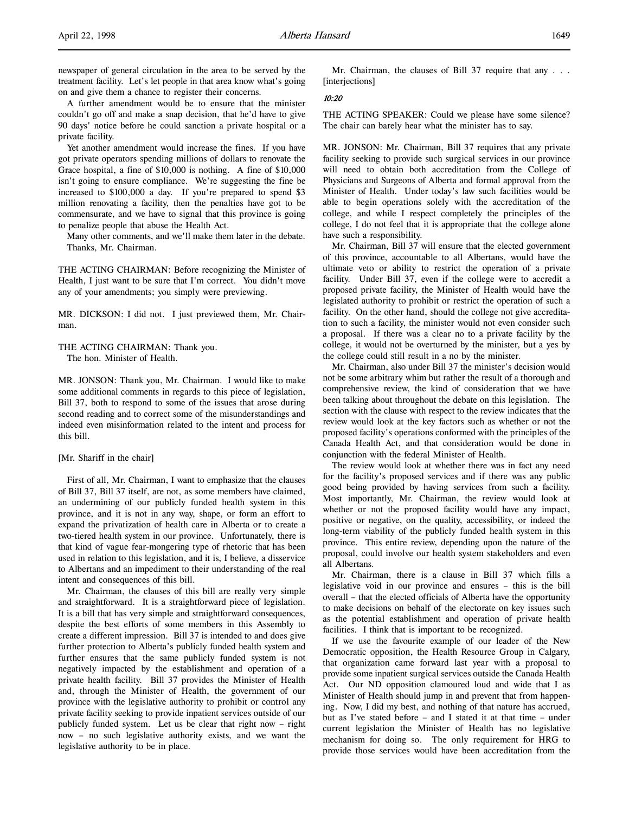newspaper of general circulation in the area to be served by the treatment facility. Let's let people in that area know what's going on and give them a chance to register their concerns.

A further amendment would be to ensure that the minister couldn't go off and make a snap decision, that he'd have to give 90 days' notice before he could sanction a private hospital or a private facility.

Yet another amendment would increase the fines. If you have got private operators spending millions of dollars to renovate the Grace hospital, a fine of \$10,000 is nothing. A fine of \$10,000 isn't going to ensure compliance. We're suggesting the fine be increased to \$100,000 a day. If you're prepared to spend \$3 million renovating a facility, then the penalties have got to be commensurate, and we have to signal that this province is going to penalize people that abuse the Health Act.

Many other comments, and we'll make them later in the debate. Thanks, Mr. Chairman.

THE ACTING CHAIRMAN: Before recognizing the Minister of Health, I just want to be sure that I'm correct. You didn't move any of your amendments; you simply were previewing.

MR. DICKSON: I did not. I just previewed them, Mr. Chairman.

THE ACTING CHAIRMAN: Thank you.

The hon. Minister of Health.

MR. JONSON: Thank you, Mr. Chairman. I would like to make some additional comments in regards to this piece of legislation, Bill 37, both to respond to some of the issues that arose during second reading and to correct some of the misunderstandings and indeed even misinformation related to the intent and process for this bill.

[Mr. Shariff in the chair]

First of all, Mr. Chairman, I want to emphasize that the clauses of Bill 37, Bill 37 itself, are not, as some members have claimed, an undermining of our publicly funded health system in this province, and it is not in any way, shape, or form an effort to expand the privatization of health care in Alberta or to create a two-tiered health system in our province. Unfortunately, there is that kind of vague fear-mongering type of rhetoric that has been used in relation to this legislation, and it is, I believe, a disservice to Albertans and an impediment to their understanding of the real intent and consequences of this bill.

Mr. Chairman, the clauses of this bill are really very simple and straightforward. It is a straightforward piece of legislation. It is a bill that has very simple and straightforward consequences, despite the best efforts of some members in this Assembly to create a different impression. Bill 37 is intended to and does give further protection to Alberta's publicly funded health system and further ensures that the same publicly funded system is not negatively impacted by the establishment and operation of a private health facility. Bill 37 provides the Minister of Health and, through the Minister of Health, the government of our province with the legislative authority to prohibit or control any private facility seeking to provide inpatient services outside of our publicly funded system. Let us be clear that right now – right now – no such legislative authority exists, and we want the legislative authority to be in place.

Mr. Chairman, the clauses of Bill 37 require that any . . . [interjections]

### 10:20

THE ACTING SPEAKER: Could we please have some silence? The chair can barely hear what the minister has to say.

MR. JONSON: Mr. Chairman, Bill 37 requires that any private facility seeking to provide such surgical services in our province will need to obtain both accreditation from the College of Physicians and Surgeons of Alberta and formal approval from the Minister of Health. Under today's law such facilities would be able to begin operations solely with the accreditation of the college, and while I respect completely the principles of the college, I do not feel that it is appropriate that the college alone have such a responsibility.

Mr. Chairman, Bill 37 will ensure that the elected government of this province, accountable to all Albertans, would have the ultimate veto or ability to restrict the operation of a private facility. Under Bill 37, even if the college were to accredit a proposed private facility, the Minister of Health would have the legislated authority to prohibit or restrict the operation of such a facility. On the other hand, should the college not give accreditation to such a facility, the minister would not even consider such a proposal. If there was a clear no to a private facility by the college, it would not be overturned by the minister, but a yes by the college could still result in a no by the minister.

Mr. Chairman, also under Bill 37 the minister's decision would not be some arbitrary whim but rather the result of a thorough and comprehensive review, the kind of consideration that we have been talking about throughout the debate on this legislation. The section with the clause with respect to the review indicates that the review would look at the key factors such as whether or not the proposed facility's operations conformed with the principles of the Canada Health Act, and that consideration would be done in conjunction with the federal Minister of Health.

The review would look at whether there was in fact any need for the facility's proposed services and if there was any public good being provided by having services from such a facility. Most importantly, Mr. Chairman, the review would look at whether or not the proposed facility would have any impact, positive or negative, on the quality, accessibility, or indeed the long-term viability of the publicly funded health system in this province. This entire review, depending upon the nature of the proposal, could involve our health system stakeholders and even all Albertans.

Mr. Chairman, there is a clause in Bill 37 which fills a legislative void in our province and ensures – this is the bill overall – that the elected officials of Alberta have the opportunity to make decisions on behalf of the electorate on key issues such as the potential establishment and operation of private health facilities. I think that is important to be recognized.

If we use the favourite example of our leader of the New Democratic opposition, the Health Resource Group in Calgary, that organization came forward last year with a proposal to provide some inpatient surgical services outside the Canada Health Act. Our ND opposition clamoured loud and wide that I as Minister of Health should jump in and prevent that from happening. Now, I did my best, and nothing of that nature has accrued, but as I've stated before – and I stated it at that time – under current legislation the Minister of Health has no legislative mechanism for doing so. The only requirement for HRG to provide those services would have been accreditation from the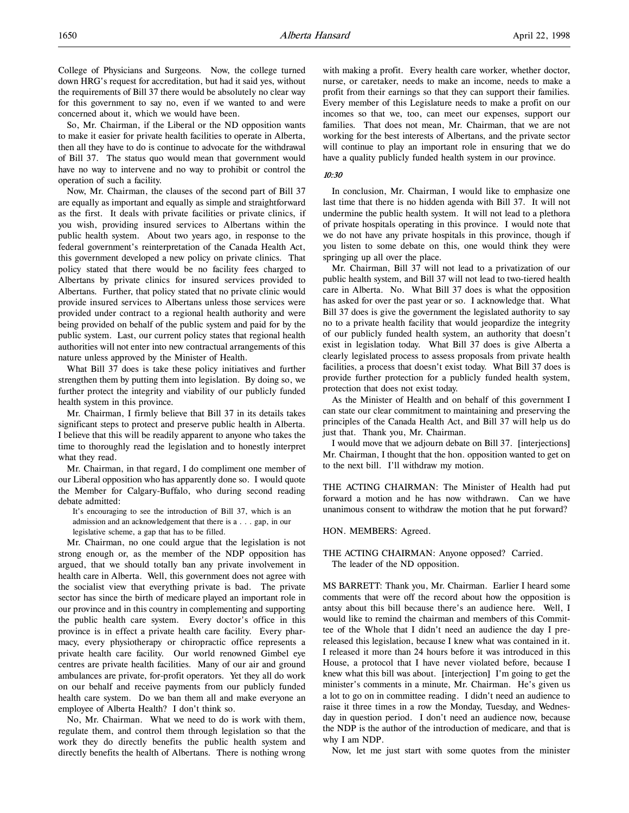College of Physicians and Surgeons. Now, the college turned down HRG's request for accreditation, but had it said yes, without the requirements of Bill 37 there would be absolutely no clear way for this government to say no, even if we wanted to and were concerned about it, which we would have been.

So, Mr. Chairman, if the Liberal or the ND opposition wants to make it easier for private health facilities to operate in Alberta, then all they have to do is continue to advocate for the withdrawal of Bill 37. The status quo would mean that government would have no way to intervene and no way to prohibit or control the operation of such a facility.

Now, Mr. Chairman, the clauses of the second part of Bill 37 are equally as important and equally as simple and straightforward as the first. It deals with private facilities or private clinics, if you wish, providing insured services to Albertans within the public health system. About two years ago, in response to the federal government's reinterpretation of the Canada Health Act, this government developed a new policy on private clinics. That policy stated that there would be no facility fees charged to Albertans by private clinics for insured services provided to Albertans. Further, that policy stated that no private clinic would provide insured services to Albertans unless those services were provided under contract to a regional health authority and were being provided on behalf of the public system and paid for by the public system. Last, our current policy states that regional health authorities will not enter into new contractual arrangements of this nature unless approved by the Minister of Health.

What Bill 37 does is take these policy initiatives and further strengthen them by putting them into legislation. By doing so, we further protect the integrity and viability of our publicly funded health system in this province.

Mr. Chairman, I firmly believe that Bill 37 in its details takes significant steps to protect and preserve public health in Alberta. I believe that this will be readily apparent to anyone who takes the time to thoroughly read the legislation and to honestly interpret what they read.

Mr. Chairman, in that regard, I do compliment one member of our Liberal opposition who has apparently done so. I would quote the Member for Calgary-Buffalo, who during second reading debate admitted:

It's encouraging to see the introduction of Bill 37, which is an admission and an acknowledgement that there is a . . . gap, in our legislative scheme, a gap that has to be filled.

Mr. Chairman, no one could argue that the legislation is not strong enough or, as the member of the NDP opposition has argued, that we should totally ban any private involvement in health care in Alberta. Well, this government does not agree with the socialist view that everything private is bad. The private sector has since the birth of medicare played an important role in our province and in this country in complementing and supporting the public health care system. Every doctor's office in this province is in effect a private health care facility. Every pharmacy, every physiotherapy or chiropractic office represents a private health care facility. Our world renowned Gimbel eye centres are private health facilities. Many of our air and ground ambulances are private, for-profit operators. Yet they all do work on our behalf and receive payments from our publicly funded health care system. Do we ban them all and make everyone an employee of Alberta Health? I don't think so.

No, Mr. Chairman. What we need to do is work with them, regulate them, and control them through legislation so that the work they do directly benefits the public health system and directly benefits the health of Albertans. There is nothing wrong

with making a profit. Every health care worker, whether doctor, nurse, or caretaker, needs to make an income, needs to make a profit from their earnings so that they can support their families. Every member of this Legislature needs to make a profit on our incomes so that we, too, can meet our expenses, support our families. That does not mean, Mr. Chairman, that we are not working for the best interests of Albertans, and the private sector will continue to play an important role in ensuring that we do have a quality publicly funded health system in our province.

## 10:30

In conclusion, Mr. Chairman, I would like to emphasize one last time that there is no hidden agenda with Bill 37. It will not undermine the public health system. It will not lead to a plethora of private hospitals operating in this province. I would note that we do not have any private hospitals in this province, though if you listen to some debate on this, one would think they were springing up all over the place.

Mr. Chairman, Bill 37 will not lead to a privatization of our public health system, and Bill 37 will not lead to two-tiered health care in Alberta. No. What Bill 37 does is what the opposition has asked for over the past year or so. I acknowledge that. What Bill 37 does is give the government the legislated authority to say no to a private health facility that would jeopardize the integrity of our publicly funded health system, an authority that doesn't exist in legislation today. What Bill 37 does is give Alberta a clearly legislated process to assess proposals from private health facilities, a process that doesn't exist today. What Bill 37 does is provide further protection for a publicly funded health system, protection that does not exist today.

As the Minister of Health and on behalf of this government I can state our clear commitment to maintaining and preserving the principles of the Canada Health Act, and Bill 37 will help us do just that. Thank you, Mr. Chairman.

I would move that we adjourn debate on Bill 37. [interjections] Mr. Chairman, I thought that the hon. opposition wanted to get on to the next bill. I'll withdraw my motion.

THE ACTING CHAIRMAN: The Minister of Health had put forward a motion and he has now withdrawn. Can we have unanimous consent to withdraw the motion that he put forward?

#### HON. MEMBERS: Agreed.

# THE ACTING CHAIRMAN: Anyone opposed? Carried. The leader of the ND opposition.

MS BARRETT: Thank you, Mr. Chairman. Earlier I heard some comments that were off the record about how the opposition is antsy about this bill because there's an audience here. Well, I would like to remind the chairman and members of this Committee of the Whole that I didn't need an audience the day I prereleased this legislation, because I knew what was contained in it. I released it more than 24 hours before it was introduced in this House, a protocol that I have never violated before, because I knew what this bill was about. [interjection] I'm going to get the minister's comments in a minute, Mr. Chairman. He's given us a lot to go on in committee reading. I didn't need an audience to raise it three times in a row the Monday, Tuesday, and Wednesday in question period. I don't need an audience now, because the NDP is the author of the introduction of medicare, and that is why I am NDP.

Now, let me just start with some quotes from the minister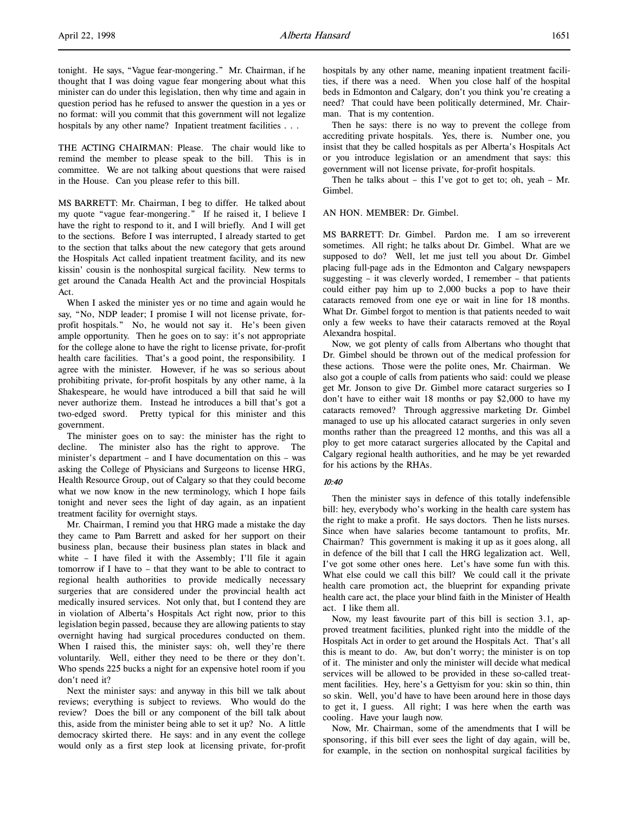tonight. He says, "Vague fear-mongering." Mr. Chairman, if he thought that I was doing vague fear mongering about what this minister can do under this legislation, then why time and again in question period has he refused to answer the question in a yes or no format: will you commit that this government will not legalize hospitals by any other name? Inpatient treatment facilities . . .

THE ACTING CHAIRMAN: Please. The chair would like to remind the member to please speak to the bill. This is in committee. We are not talking about questions that were raised in the House. Can you please refer to this bill.

MS BARRETT: Mr. Chairman, I beg to differ. He talked about my quote "vague fear-mongering." If he raised it, I believe I have the right to respond to it, and I will briefly. And I will get to the sections. Before I was interrupted, I already started to get to the section that talks about the new category that gets around the Hospitals Act called inpatient treatment facility, and its new kissin' cousin is the nonhospital surgical facility. New terms to get around the Canada Health Act and the provincial Hospitals Act.

When I asked the minister yes or no time and again would he say, "No, NDP leader; I promise I will not license private, forprofit hospitals." No, he would not say it. He's been given ample opportunity. Then he goes on to say: it's not appropriate for the college alone to have the right to license private, for-profit health care facilities. That's a good point, the responsibility. I agree with the minister. However, if he was so serious about prohibiting private, for-profit hospitals by any other name, à la Shakespeare, he would have introduced a bill that said he will never authorize them. Instead he introduces a bill that's got a two-edged sword. Pretty typical for this minister and this government.

The minister goes on to say: the minister has the right to decline. The minister also has the right to approve. The minister's department – and I have documentation on this – was asking the College of Physicians and Surgeons to license HRG, Health Resource Group, out of Calgary so that they could become what we now know in the new terminology, which I hope fails tonight and never sees the light of day again, as an inpatient treatment facility for overnight stays.

Mr. Chairman, I remind you that HRG made a mistake the day they came to Pam Barrett and asked for her support on their business plan, because their business plan states in black and white - I have filed it with the Assembly; I'll file it again tomorrow if I have to – that they want to be able to contract to regional health authorities to provide medically necessary surgeries that are considered under the provincial health act medically insured services. Not only that, but I contend they are in violation of Alberta's Hospitals Act right now, prior to this legislation begin passed, because they are allowing patients to stay overnight having had surgical procedures conducted on them. When I raised this, the minister says: oh, well they're there voluntarily. Well, either they need to be there or they don't. Who spends 225 bucks a night for an expensive hotel room if you don't need it?

Next the minister says: and anyway in this bill we talk about reviews; everything is subject to reviews. Who would do the review? Does the bill or any component of the bill talk about this, aside from the minister being able to set it up? No. A little democracy skirted there. He says: and in any event the college would only as a first step look at licensing private, for-profit hospitals by any other name, meaning inpatient treatment facilities, if there was a need. When you close half of the hospital beds in Edmonton and Calgary, don't you think you're creating a need? That could have been politically determined, Mr. Chairman. That is my contention.

Then he says: there is no way to prevent the college from accrediting private hospitals. Yes, there is. Number one, you insist that they be called hospitals as per Alberta's Hospitals Act or you introduce legislation or an amendment that says: this government will not license private, for-profit hospitals.

Then he talks about – this I've got to get to; oh, yeah – Mr. Gimbel.

#### AN HON. MEMBER: Dr. Gimbel.

MS BARRETT: Dr. Gimbel. Pardon me. I am so irreverent sometimes. All right; he talks about Dr. Gimbel. What are we supposed to do? Well, let me just tell you about Dr. Gimbel placing full-page ads in the Edmonton and Calgary newspapers suggesting – it was cleverly worded, I remember – that patients could either pay him up to 2,000 bucks a pop to have their cataracts removed from one eye or wait in line for 18 months. What Dr. Gimbel forgot to mention is that patients needed to wait only a few weeks to have their cataracts removed at the Royal Alexandra hospital.

Now, we got plenty of calls from Albertans who thought that Dr. Gimbel should be thrown out of the medical profession for these actions. Those were the polite ones, Mr. Chairman. We also got a couple of calls from patients who said: could we please get Mr. Jonson to give Dr. Gimbel more cataract surgeries so I don't have to either wait 18 months or pay \$2,000 to have my cataracts removed? Through aggressive marketing Dr. Gimbel managed to use up his allocated cataract surgeries in only seven months rather than the preagreed 12 months, and this was all a ploy to get more cataract surgeries allocated by the Capital and Calgary regional health authorities, and he may be yet rewarded for his actions by the RHAs.

#### 10:40

Then the minister says in defence of this totally indefensible bill: hey, everybody who's working in the health care system has the right to make a profit. He says doctors. Then he lists nurses. Since when have salaries become tantamount to profits, Mr. Chairman? This government is making it up as it goes along, all in defence of the bill that I call the HRG legalization act. Well, I've got some other ones here. Let's have some fun with this. What else could we call this bill? We could call it the private health care promotion act, the blueprint for expanding private health care act, the place your blind faith in the Minister of Health act. I like them all.

Now, my least favourite part of this bill is section 3.1, approved treatment facilities, plunked right into the middle of the Hospitals Act in order to get around the Hospitals Act. That's all this is meant to do. Aw, but don't worry; the minister is on top of it. The minister and only the minister will decide what medical services will be allowed to be provided in these so-called treatment facilities. Hey, here's a Gettyism for you: skin so thin, thin so skin. Well, you'd have to have been around here in those days to get it, I guess. All right; I was here when the earth was cooling. Have your laugh now.

Now, Mr. Chairman, some of the amendments that I will be sponsoring, if this bill ever sees the light of day again, will be, for example, in the section on nonhospital surgical facilities by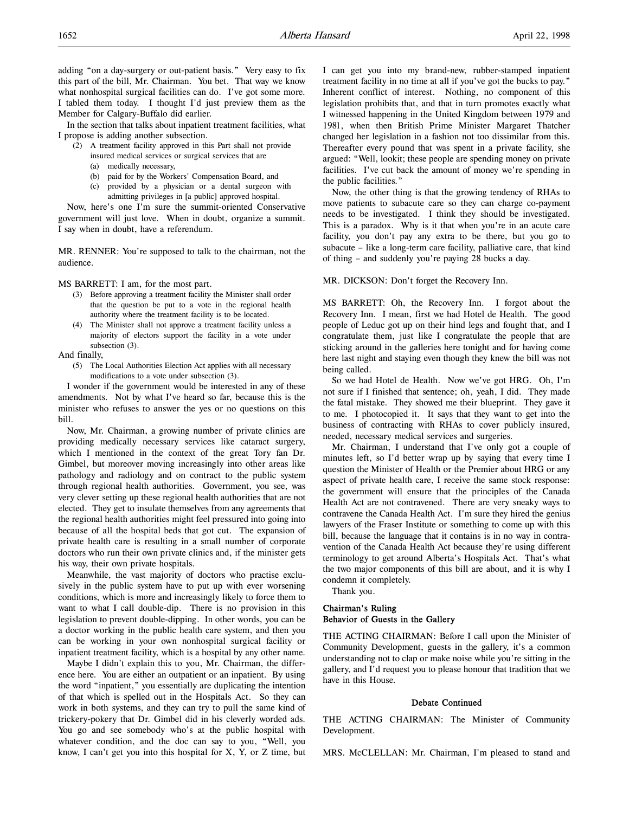adding "on a day-surgery or out-patient basis." Very easy to fix this part of the bill, Mr. Chairman. You bet. That way we know what nonhospital surgical facilities can do. I've got some more. I tabled them today. I thought I'd just preview them as the Member for Calgary-Buffalo did earlier.

In the section that talks about inpatient treatment facilities, what I propose is adding another subsection.

- (2) A treatment facility approved in this Part shall not provide insured medical services or surgical services that are
	- (a) medically necessary,
	- (b) paid for by the Workers' Compensation Board, and
	- (c) provided by a physician or a dental surgeon with admitting privileges in [a public] approved hospital.

Now, here's one I'm sure the summit-oriented Conservative government will just love. When in doubt, organize a summit. I say when in doubt, have a referendum.

MR. RENNER: You're supposed to talk to the chairman, not the audience.

MS BARRETT: I am, for the most part.

- (3) Before approving a treatment facility the Minister shall order that the question be put to a vote in the regional health authority where the treatment facility is to be located.
- (4) The Minister shall not approve a treatment facility unless a majority of electors support the facility in a vote under subsection (3).

And finally,

(5) The Local Authorities Election Act applies with all necessary modifications to a vote under subsection (3).

I wonder if the government would be interested in any of these amendments. Not by what I've heard so far, because this is the minister who refuses to answer the yes or no questions on this bill.

Now, Mr. Chairman, a growing number of private clinics are providing medically necessary services like cataract surgery, which I mentioned in the context of the great Tory fan Dr. Gimbel, but moreover moving increasingly into other areas like pathology and radiology and on contract to the public system through regional health authorities. Government, you see, was very clever setting up these regional health authorities that are not elected. They get to insulate themselves from any agreements that the regional health authorities might feel pressured into going into because of all the hospital beds that got cut. The expansion of private health care is resulting in a small number of corporate doctors who run their own private clinics and, if the minister gets his way, their own private hospitals.

Meanwhile, the vast majority of doctors who practise exclusively in the public system have to put up with ever worsening conditions, which is more and increasingly likely to force them to want to what I call double-dip. There is no provision in this legislation to prevent double-dipping. In other words, you can be a doctor working in the public health care system, and then you can be working in your own nonhospital surgical facility or inpatient treatment facility, which is a hospital by any other name.

Maybe I didn't explain this to you, Mr. Chairman, the difference here. You are either an outpatient or an inpatient. By using the word "inpatient," you essentially are duplicating the intention of that which is spelled out in the Hospitals Act. So they can work in both systems, and they can try to pull the same kind of trickery-pokery that Dr. Gimbel did in his cleverly worded ads. You go and see somebody who's at the public hospital with whatever condition, and the doc can say to you, "Well, you know, I can't get you into this hospital for X, Y, or Z time, but I can get you into my brand-new, rubber-stamped inpatient treatment facility in no time at all if you've got the bucks to pay." Inherent conflict of interest. Nothing, no component of this legislation prohibits that, and that in turn promotes exactly what I witnessed happening in the United Kingdom between 1979 and 1981, when then British Prime Minister Margaret Thatcher changed her legislation in a fashion not too dissimilar from this. Thereafter every pound that was spent in a private facility, she argued: "Well, lookit; these people are spending money on private facilities. I've cut back the amount of money we're spending in the public facilities."

Now, the other thing is that the growing tendency of RHAs to move patients to subacute care so they can charge co-payment needs to be investigated. I think they should be investigated. This is a paradox. Why is it that when you're in an acute care facility, you don't pay any extra to be there, but you go to subacute – like a long-term care facility, palliative care, that kind of thing – and suddenly you're paying 28 bucks a day.

MR. DICKSON: Don't forget the Recovery Inn.

MS BARRETT: Oh, the Recovery Inn. I forgot about the Recovery Inn. I mean, first we had Hotel de Health. The good people of Leduc got up on their hind legs and fought that, and I congratulate them, just like I congratulate the people that are sticking around in the galleries here tonight and for having come here last night and staying even though they knew the bill was not being called.

So we had Hotel de Health. Now we've got HRG. Oh, I'm not sure if I finished that sentence; oh, yeah, I did. They made the fatal mistake. They showed me their blueprint. They gave it to me. I photocopied it. It says that they want to get into the business of contracting with RHAs to cover publicly insured, needed, necessary medical services and surgeries.

Mr. Chairman, I understand that I've only got a couple of minutes left, so I'd better wrap up by saying that every time I question the Minister of Health or the Premier about HRG or any aspect of private health care, I receive the same stock response: the government will ensure that the principles of the Canada Health Act are not contravened. There are very sneaky ways to contravene the Canada Health Act. I'm sure they hired the genius lawyers of the Fraser Institute or something to come up with this bill, because the language that it contains is in no way in contravention of the Canada Health Act because they're using different terminology to get around Alberta's Hospitals Act. That's what the two major components of this bill are about, and it is why I condemn it completely.

Thank you.

## Chairman's Ruling Behavior of Guests in the Gallery

THE ACTING CHAIRMAN: Before I call upon the Minister of Community Development, guests in the gallery, it's a common understanding not to clap or make noise while you're sitting in the gallery, and I'd request you to please honour that tradition that we have in this House.

#### Debate Continued

THE ACTING CHAIRMAN: The Minister of Community Development.

MRS. McCLELLAN: Mr. Chairman, I'm pleased to stand and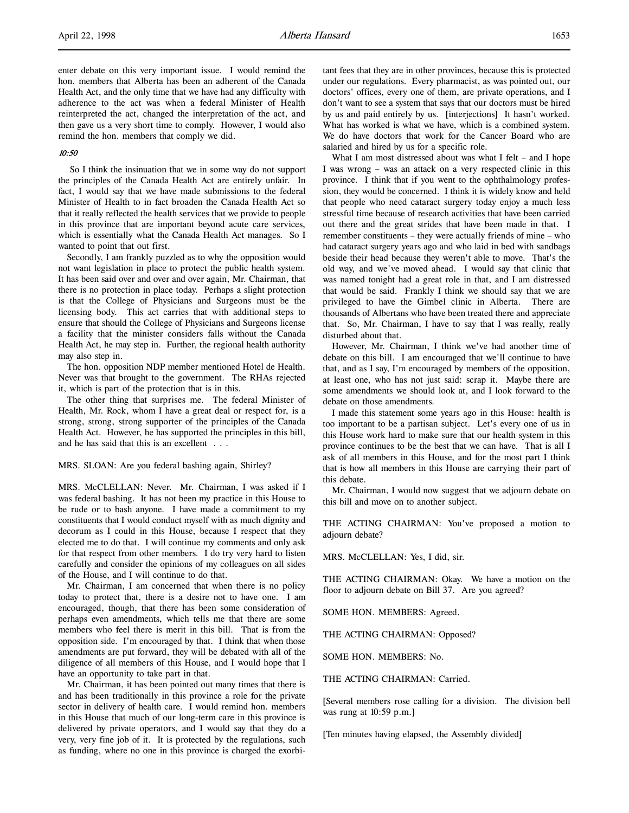enter debate on this very important issue. I would remind the hon. members that Alberta has been an adherent of the Canada Health Act, and the only time that we have had any difficulty with adherence to the act was when a federal Minister of Health reinterpreted the act, changed the interpretation of the act, and then gave us a very short time to comply. However, I would also remind the hon. members that comply we did.

#### $10.50$

 So I think the insinuation that we in some way do not support the principles of the Canada Health Act are entirely unfair. In fact, I would say that we have made submissions to the federal Minister of Health to in fact broaden the Canada Health Act so that it really reflected the health services that we provide to people in this province that are important beyond acute care services, which is essentially what the Canada Health Act manages. So I wanted to point that out first.

Secondly, I am frankly puzzled as to why the opposition would not want legislation in place to protect the public health system. It has been said over and over and over again, Mr. Chairman, that there is no protection in place today. Perhaps a slight protection is that the College of Physicians and Surgeons must be the licensing body. This act carries that with additional steps to ensure that should the College of Physicians and Surgeons license a facility that the minister considers falls without the Canada Health Act, he may step in. Further, the regional health authority may also step in.

The hon. opposition NDP member mentioned Hotel de Health. Never was that brought to the government. The RHAs rejected it, which is part of the protection that is in this.

The other thing that surprises me. The federal Minister of Health, Mr. Rock, whom I have a great deal or respect for, is a strong, strong, strong supporter of the principles of the Canada Health Act. However, he has supported the principles in this bill, and he has said that this is an excellent . . .

MRS. SLOAN: Are you federal bashing again, Shirley?

MRS. McCLELLAN: Never. Mr. Chairman, I was asked if I was federal bashing. It has not been my practice in this House to be rude or to bash anyone. I have made a commitment to my constituents that I would conduct myself with as much dignity and decorum as I could in this House, because I respect that they elected me to do that. I will continue my comments and only ask for that respect from other members. I do try very hard to listen carefully and consider the opinions of my colleagues on all sides of the House, and I will continue to do that.

Mr. Chairman, I am concerned that when there is no policy today to protect that, there is a desire not to have one. I am encouraged, though, that there has been some consideration of perhaps even amendments, which tells me that there are some members who feel there is merit in this bill. That is from the opposition side. I'm encouraged by that. I think that when those amendments are put forward, they will be debated with all of the diligence of all members of this House, and I would hope that I have an opportunity to take part in that.

Mr. Chairman, it has been pointed out many times that there is and has been traditionally in this province a role for the private sector in delivery of health care. I would remind hon. members in this House that much of our long-term care in this province is delivered by private operators, and I would say that they do a very, very fine job of it. It is protected by the regulations, such as funding, where no one in this province is charged the exorbitant fees that they are in other provinces, because this is protected under our regulations. Every pharmacist, as was pointed out, our doctors' offices, every one of them, are private operations, and I don't want to see a system that says that our doctors must be hired by us and paid entirely by us. [interjections] It hasn't worked. What has worked is what we have, which is a combined system. We do have doctors that work for the Cancer Board who are salaried and hired by us for a specific role.

What I am most distressed about was what I felt – and I hope I was wrong – was an attack on a very respected clinic in this province. I think that if you went to the ophthalmology profession, they would be concerned. I think it is widely know and held that people who need cataract surgery today enjoy a much less stressful time because of research activities that have been carried out there and the great strides that have been made in that. I remember constituents – they were actually friends of mine – who had cataract surgery years ago and who laid in bed with sandbags beside their head because they weren't able to move. That's the old way, and we've moved ahead. I would say that clinic that was named tonight had a great role in that, and I am distressed that would be said. Frankly I think we should say that we are privileged to have the Gimbel clinic in Alberta. There are thousands of Albertans who have been treated there and appreciate that. So, Mr. Chairman, I have to say that I was really, really disturbed about that.

However, Mr. Chairman, I think we've had another time of debate on this bill. I am encouraged that we'll continue to have that, and as I say, I'm encouraged by members of the opposition, at least one, who has not just said: scrap it. Maybe there are some amendments we should look at, and I look forward to the debate on those amendments.

I made this statement some years ago in this House: health is too important to be a partisan subject. Let's every one of us in this House work hard to make sure that our health system in this province continues to be the best that we can have. That is all I ask of all members in this House, and for the most part I think that is how all members in this House are carrying their part of this debate.

Mr. Chairman, I would now suggest that we adjourn debate on this bill and move on to another subject.

THE ACTING CHAIRMAN: You've proposed a motion to adjourn debate?

MRS. McCLELLAN: Yes, I did, sir.

THE ACTING CHAIRMAN: Okay. We have a motion on the floor to adjourn debate on Bill 37. Are you agreed?

SOME HON. MEMBERS: Agreed.

THE ACTING CHAIRMAN: Opposed?

SOME HON. MEMBERS: No.

THE ACTING CHAIRMAN: Carried.

[Several members rose calling for a division. The division bell was rung at 10:59 p.m.]

[Ten minutes having elapsed, the Assembly divided]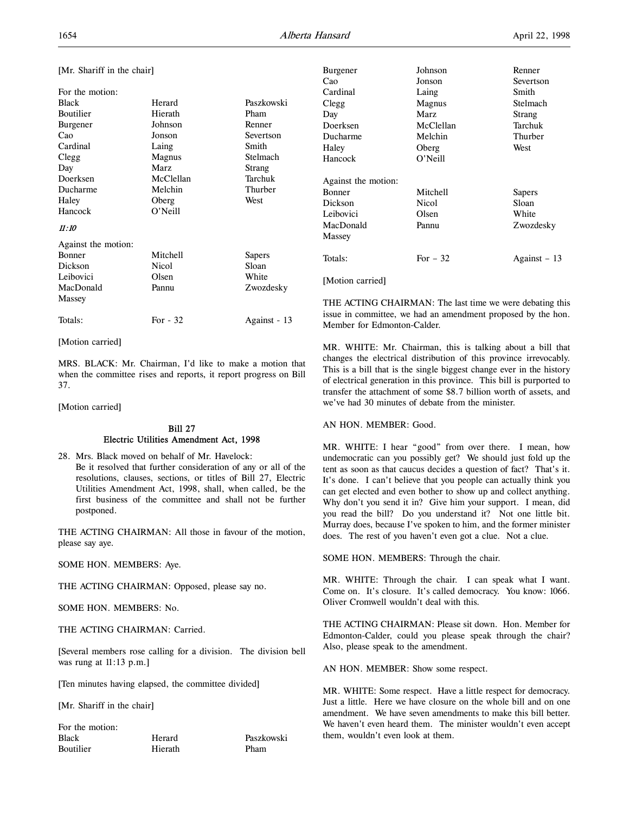## [Mr. Shariff in the chair]

| For the motion:     |           |              |
|---------------------|-----------|--------------|
| <b>Black</b>        | Herard    | Paszkowski   |
| Boutilier           | Hierath   | Pham         |
| Burgener            | Johnson   | Renner       |
| Cao                 | Jonson    | Severtson    |
| Cardinal            | Laing     | Smith        |
| Clegg               | Magnus    | Stelmach     |
| Day                 | Marz      | Strang       |
| Doerksen            | McClellan | Tarchuk      |
| Ducharme            | Melchin   | Thurber      |
| Haley               | Oberg     | West         |
| Hancock             | O'Neill   |              |
| 11:10               |           |              |
| Against the motion: |           |              |
| <b>Bonner</b>       | Mitchell  | Sapers       |
| Dickson             | Nicol     | Sloan        |
| Leibovici           | Olsen     | White        |
| MacDonald           | Pannu     | Zwozdesky    |
| Massey              |           |              |
| Totals:             | For $-32$ | Against - 13 |

[Motion carried]

MRS. BLACK: Mr. Chairman, I'd like to make a motion that when the committee rises and reports, it report progress on Bill 37.

[Motion carried]

## Bill 27 Electric Utilities Amendment Act, 1998

28. Mrs. Black moved on behalf of Mr. Havelock: Be it resolved that further consideration of any or all of the resolutions, clauses, sections, or titles of Bill 27, Electric Utilities Amendment Act, 1998, shall, when called, be the first business of the committee and shall not be further postponed.

THE ACTING CHAIRMAN: All those in favour of the motion, please say aye.

SOME HON. MEMBERS: Aye.

THE ACTING CHAIRMAN: Opposed, please say no.

SOME HON. MEMBERS: No.

THE ACTING CHAIRMAN: Carried.

[Several members rose calling for a division. The division bell was rung at 11:13 p.m.]

[Ten minutes having elapsed, the committee divided]

[Mr. Shariff in the chair]

| For the motion: |         |            |
|-----------------|---------|------------|
| Black           | Herard  | Paszkowski |
| Boutilier       | Hierath | Pham       |

| Burgener            | Johnson      | Renner       |
|---------------------|--------------|--------------|
| Cao                 | Jonson       | Severtson    |
| Cardinal            | Laing        | Smith        |
| Clegg               | Magnus       | Stelmach     |
| Day                 | Marz         | Strang       |
| Doerksen            | McClellan    | Tarchuk      |
| Ducharme            | Melchin      | Thurber      |
| Haley               | Oberg        | West         |
| Hancock             | O'Neill      |              |
| Against the motion: |              |              |
| Bonner              | Mitchell     | Sapers       |
| Dickson             | <b>Nicol</b> | Sloan        |
| Leibovici           | Olsen        | White        |
| MacDonald           | Pannu        | Zwozdesky    |
| Massey              |              |              |
| Totals:             | For $-32$    | Against – 13 |
| [Motion carried]    |              |              |

THE ACTING CHAIRMAN: The last time we were debating this issue in committee, we had an amendment proposed by the hon. Member for Edmonton-Calder.

MR. WHITE: Mr. Chairman, this is talking about a bill that changes the electrical distribution of this province irrevocably. This is a bill that is the single biggest change ever in the history of electrical generation in this province. This bill is purported to transfer the attachment of some \$8.7 billion worth of assets, and we've had 30 minutes of debate from the minister.

#### AN HON. MEMBER: Good.

MR. WHITE: I hear "good" from over there. I mean, how undemocratic can you possibly get? We should just fold up the tent as soon as that caucus decides a question of fact? That's it. It's done. I can't believe that you people can actually think you can get elected and even bother to show up and collect anything. Why don't you send it in? Give him your support. I mean, did you read the bill? Do you understand it? Not one little bit. Murray does, because I've spoken to him, and the former minister does. The rest of you haven't even got a clue. Not a clue.

SOME HON. MEMBERS: Through the chair.

MR. WHITE: Through the chair. I can speak what I want. Come on. It's closure. It's called democracy. You know: 1066. Oliver Cromwell wouldn't deal with this.

THE ACTING CHAIRMAN: Please sit down. Hon. Member for Edmonton-Calder, could you please speak through the chair? Also, please speak to the amendment.

AN HON. MEMBER: Show some respect.

MR. WHITE: Some respect. Have a little respect for democracy. Just a little. Here we have closure on the whole bill and on one amendment. We have seven amendments to make this bill better. We haven't even heard them. The minister wouldn't even accept them, wouldn't even look at them.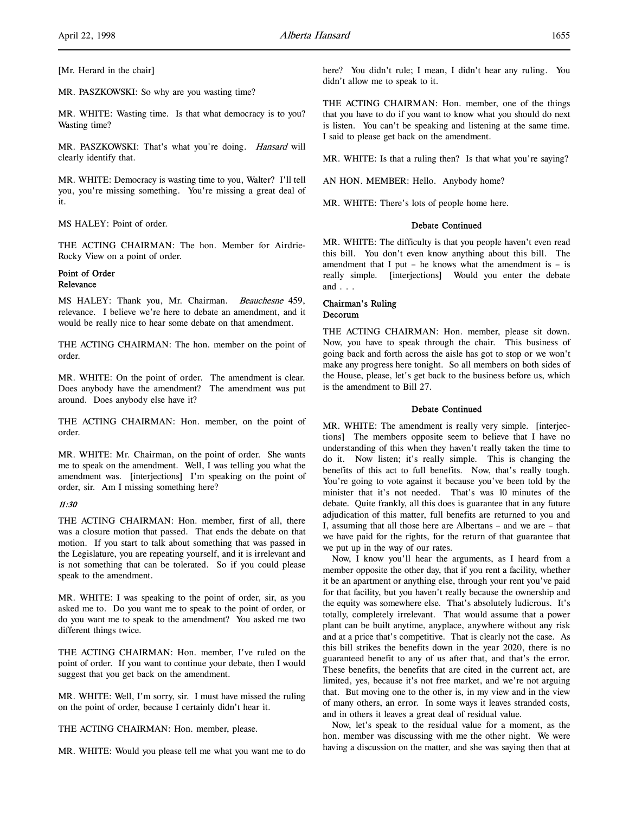[Mr. Herard in the chair]

MR. PASZKOWSKI: So why are you wasting time?

MR. WHITE: Wasting time. Is that what democracy is to you? Wasting time?

MR. PASZKOWSKI: That's what you're doing. Hansard will clearly identify that.

MR. WHITE: Democracy is wasting time to you, Walter? I'll tell you, you're missing something. You're missing a great deal of it.

MS HALEY: Point of order.

THE ACTING CHAIRMAN: The hon. Member for Airdrie-Rocky View on a point of order.

### Point of Order Relevance

MS HALEY: Thank you, Mr. Chairman. Beauchesne 459, relevance. I believe we're here to debate an amendment, and it would be really nice to hear some debate on that amendment.

THE ACTING CHAIRMAN: The hon. member on the point of order.

MR. WHITE: On the point of order. The amendment is clear. Does anybody have the amendment? The amendment was put around. Does anybody else have it?

THE ACTING CHAIRMAN: Hon. member, on the point of order.

MR. WHITE: Mr. Chairman, on the point of order. She wants me to speak on the amendment. Well, I was telling you what the amendment was. [interjections] I'm speaking on the point of order, sir. Am I missing something here?

## 11:30

THE ACTING CHAIRMAN: Hon. member, first of all, there was a closure motion that passed. That ends the debate on that motion. If you start to talk about something that was passed in the Legislature, you are repeating yourself, and it is irrelevant and is not something that can be tolerated. So if you could please speak to the amendment.

MR. WHITE: I was speaking to the point of order, sir, as you asked me to. Do you want me to speak to the point of order, or do you want me to speak to the amendment? You asked me two different things twice.

THE ACTING CHAIRMAN: Hon. member, I've ruled on the point of order. If you want to continue your debate, then I would suggest that you get back on the amendment.

MR. WHITE: Well, I'm sorry, sir. I must have missed the ruling on the point of order, because I certainly didn't hear it.

THE ACTING CHAIRMAN: Hon. member, please.

MR. WHITE: Would you please tell me what you want me to do

here? You didn't rule; I mean, I didn't hear any ruling. You didn't allow me to speak to it.

THE ACTING CHAIRMAN: Hon. member, one of the things that you have to do if you want to know what you should do next is listen. You can't be speaking and listening at the same time. I said to please get back on the amendment.

MR. WHITE: Is that a ruling then? Is that what you're saying?

AN HON. MEMBER: Hello. Anybody home?

MR. WHITE: There's lots of people home here.

## Debate Continued

MR. WHITE: The difficulty is that you people haven't even read this bill. You don't even know anything about this bill. The amendment that I put – he knows what the amendment is – is really simple. [interjections] Would you enter the debate and . . .

## Chairman's Ruling Decorum

THE ACTING CHAIRMAN: Hon. member, please sit down. Now, you have to speak through the chair. This business of going back and forth across the aisle has got to stop or we won't make any progress here tonight. So all members on both sides of the House, please, let's get back to the business before us, which is the amendment to Bill 27.

### Debate Continued

MR. WHITE: The amendment is really very simple. [interjections] The members opposite seem to believe that I have no understanding of this when they haven't really taken the time to do it. Now listen; it's really simple. This is changing the benefits of this act to full benefits. Now, that's really tough. You're going to vote against it because you've been told by the minister that it's not needed. That's was 10 minutes of the debate. Quite frankly, all this does is guarantee that in any future adjudication of this matter, full benefits are returned to you and I, assuming that all those here are Albertans – and we are – that we have paid for the rights, for the return of that guarantee that we put up in the way of our rates.

Now, I know you'll hear the arguments, as I heard from a member opposite the other day, that if you rent a facility, whether it be an apartment or anything else, through your rent you've paid for that facility, but you haven't really because the ownership and the equity was somewhere else. That's absolutely ludicrous. It's totally, completely irrelevant. That would assume that a power plant can be built anytime, anyplace, anywhere without any risk and at a price that's competitive. That is clearly not the case. As this bill strikes the benefits down in the year 2020, there is no guaranteed benefit to any of us after that, and that's the error. These benefits, the benefits that are cited in the current act, are limited, yes, because it's not free market, and we're not arguing that. But moving one to the other is, in my view and in the view of many others, an error. In some ways it leaves stranded costs, and in others it leaves a great deal of residual value.

Now, let's speak to the residual value for a moment, as the hon. member was discussing with me the other night. We were having a discussion on the matter, and she was saying then that at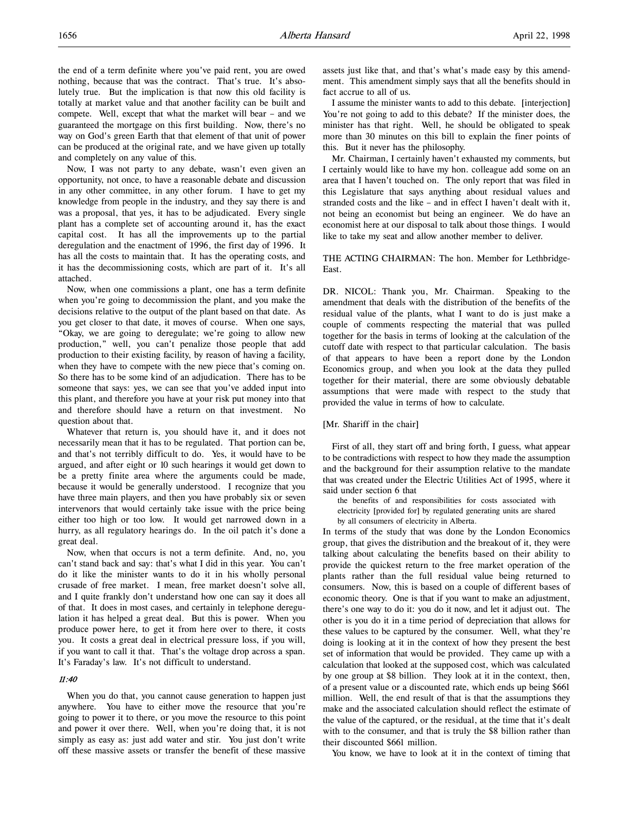the end of a term definite where you've paid rent, you are owed nothing, because that was the contract. That's true. It's absolutely true. But the implication is that now this old facility is totally at market value and that another facility can be built and compete. Well, except that what the market will bear – and we guaranteed the mortgage on this first building. Now, there's no way on God's green Earth that that element of that unit of power can be produced at the original rate, and we have given up totally and completely on any value of this.

Now, I was not party to any debate, wasn't even given an opportunity, not once, to have a reasonable debate and discussion in any other committee, in any other forum. I have to get my knowledge from people in the industry, and they say there is and was a proposal, that yes, it has to be adjudicated. Every single plant has a complete set of accounting around it, has the exact capital cost. It has all the improvements up to the partial deregulation and the enactment of 1996, the first day of 1996. It has all the costs to maintain that. It has the operating costs, and it has the decommissioning costs, which are part of it. It's all attached.

Now, when one commissions a plant, one has a term definite when you're going to decommission the plant, and you make the decisions relative to the output of the plant based on that date. As you get closer to that date, it moves of course. When one says, "Okay, we are going to deregulate; we're going to allow new production," well, you can't penalize those people that add production to their existing facility, by reason of having a facility, when they have to compete with the new piece that's coming on. So there has to be some kind of an adjudication. There has to be someone that says: yes, we can see that you've added input into this plant, and therefore you have at your risk put money into that and therefore should have a return on that investment. No question about that.

Whatever that return is, you should have it, and it does not necessarily mean that it has to be regulated. That portion can be, and that's not terribly difficult to do. Yes, it would have to be argued, and after eight or 10 such hearings it would get down to be a pretty finite area where the arguments could be made, because it would be generally understood. I recognize that you have three main players, and then you have probably six or seven intervenors that would certainly take issue with the price being either too high or too low. It would get narrowed down in a hurry, as all regulatory hearings do. In the oil patch it's done a great deal.

Now, when that occurs is not a term definite. And, no, you can't stand back and say: that's what I did in this year. You can't do it like the minister wants to do it in his wholly personal crusade of free market. I mean, free market doesn't solve all, and I quite frankly don't understand how one can say it does all of that. It does in most cases, and certainly in telephone deregulation it has helped a great deal. But this is power. When you produce power here, to get it from here over to there, it costs you. It costs a great deal in electrical pressure loss, if you will, if you want to call it that. That's the voltage drop across a span. It's Faraday's law. It's not difficult to understand.

#### 11:40

When you do that, you cannot cause generation to happen just anywhere. You have to either move the resource that you're going to power it to there, or you move the resource to this point and power it over there. Well, when you're doing that, it is not simply as easy as: just add water and stir. You just don't write off these massive assets or transfer the benefit of these massive

assets just like that, and that's what's made easy by this amendment. This amendment simply says that all the benefits should in fact accrue to all of us.

I assume the minister wants to add to this debate. [interjection] You're not going to add to this debate? If the minister does, the minister has that right. Well, he should be obligated to speak more than 30 minutes on this bill to explain the finer points of this. But it never has the philosophy.

Mr. Chairman, I certainly haven't exhausted my comments, but I certainly would like to have my hon. colleague add some on an area that I haven't touched on. The only report that was filed in this Legislature that says anything about residual values and stranded costs and the like – and in effect I haven't dealt with it, not being an economist but being an engineer. We do have an economist here at our disposal to talk about those things. I would like to take my seat and allow another member to deliver.

THE ACTING CHAIRMAN: The hon. Member for Lethbridge-East.

DR. NICOL: Thank you, Mr. Chairman. Speaking to the amendment that deals with the distribution of the benefits of the residual value of the plants, what I want to do is just make a couple of comments respecting the material that was pulled together for the basis in terms of looking at the calculation of the cutoff date with respect to that particular calculation. The basis of that appears to have been a report done by the London Economics group, and when you look at the data they pulled together for their material, there are some obviously debatable assumptions that were made with respect to the study that provided the value in terms of how to calculate.

#### [Mr. Shariff in the chair]

First of all, they start off and bring forth, I guess, what appear to be contradictions with respect to how they made the assumption and the background for their assumption relative to the mandate that was created under the Electric Utilities Act of 1995, where it said under section 6 that

the benefits of and responsibilities for costs associated with electricity [provided for] by regulated generating units are shared by all consumers of electricity in Alberta.

In terms of the study that was done by the London Economics group, that gives the distribution and the breakout of it, they were talking about calculating the benefits based on their ability to provide the quickest return to the free market operation of the plants rather than the full residual value being returned to consumers. Now, this is based on a couple of different bases of economic theory. One is that if you want to make an adjustment, there's one way to do it: you do it now, and let it adjust out. The other is you do it in a time period of depreciation that allows for these values to be captured by the consumer. Well, what they're doing is looking at it in the context of how they present the best set of information that would be provided. They came up with a calculation that looked at the supposed cost, which was calculated by one group at \$8 billion. They look at it in the context, then, of a present value or a discounted rate, which ends up being \$661 million. Well, the end result of that is that the assumptions they make and the associated calculation should reflect the estimate of the value of the captured, or the residual, at the time that it's dealt with to the consumer, and that is truly the \$8 billion rather than their discounted \$661 million.

You know, we have to look at it in the context of timing that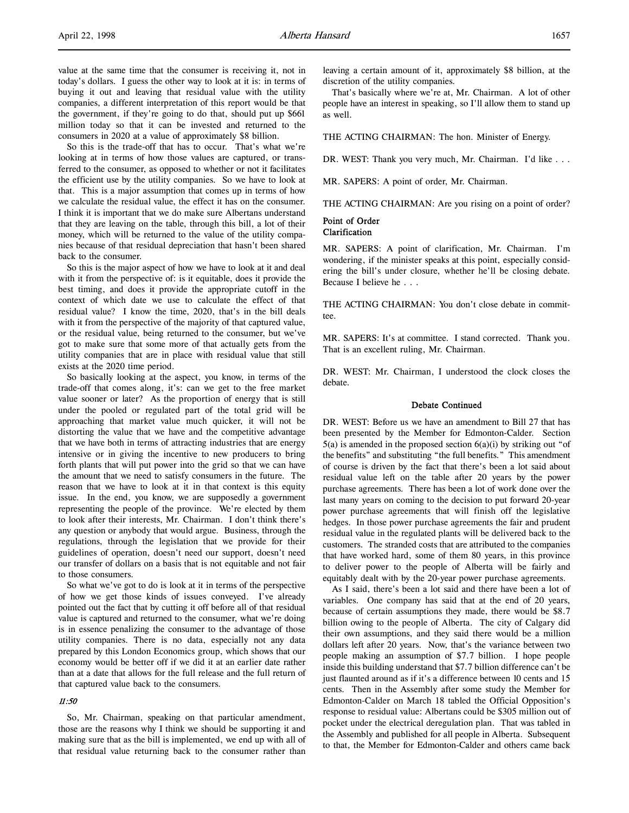So this is the trade-off that has to occur. That's what we're looking at in terms of how those values are captured, or transferred to the consumer, as opposed to whether or not it facilitates the efficient use by the utility companies. So we have to look at that. This is a major assumption that comes up in terms of how we calculate the residual value, the effect it has on the consumer. I think it is important that we do make sure Albertans understand that they are leaving on the table, through this bill, a lot of their money, which will be returned to the value of the utility companies because of that residual depreciation that hasn't been shared back to the consumer.

So this is the major aspect of how we have to look at it and deal with it from the perspective of: is it equitable, does it provide the best timing, and does it provide the appropriate cutoff in the context of which date we use to calculate the effect of that residual value? I know the time, 2020, that's in the bill deals with it from the perspective of the majority of that captured value, or the residual value, being returned to the consumer, but we've got to make sure that some more of that actually gets from the utility companies that are in place with residual value that still exists at the 2020 time period.

So basically looking at the aspect, you know, in terms of the trade-off that comes along, it's: can we get to the free market value sooner or later? As the proportion of energy that is still under the pooled or regulated part of the total grid will be approaching that market value much quicker, it will not be distorting the value that we have and the competitive advantage that we have both in terms of attracting industries that are energy intensive or in giving the incentive to new producers to bring forth plants that will put power into the grid so that we can have the amount that we need to satisfy consumers in the future. The reason that we have to look at it in that context is this equity issue. In the end, you know, we are supposedly a government representing the people of the province. We're elected by them to look after their interests, Mr. Chairman. I don't think there's any question or anybody that would argue. Business, through the regulations, through the legislation that we provide for their guidelines of operation, doesn't need our support, doesn't need our transfer of dollars on a basis that is not equitable and not fair to those consumers.

So what we've got to do is look at it in terms of the perspective of how we get those kinds of issues conveyed. I've already pointed out the fact that by cutting it off before all of that residual value is captured and returned to the consumer, what we're doing is in essence penalizing the consumer to the advantage of those utility companies. There is no data, especially not any data prepared by this London Economics group, which shows that our economy would be better off if we did it at an earlier date rather than at a date that allows for the full release and the full return of that captured value back to the consumers.

## 11:50

So, Mr. Chairman, speaking on that particular amendment, those are the reasons why I think we should be supporting it and making sure that as the bill is implemented, we end up with all of that residual value returning back to the consumer rather than

leaving a certain amount of it, approximately \$8 billion, at the discretion of the utility companies.

That's basically where we're at, Mr. Chairman. A lot of other people have an interest in speaking, so I'll allow them to stand up as well.

THE ACTING CHAIRMAN: The hon. Minister of Energy.

DR. WEST: Thank you very much, Mr. Chairman. I'd like . . .

MR. SAPERS: A point of order, Mr. Chairman.

THE ACTING CHAIRMAN: Are you rising on a point of order?

# Point of Order

# Clarification

MR. SAPERS: A point of clarification, Mr. Chairman. I'm wondering, if the minister speaks at this point, especially considering the bill's under closure, whether he'll be closing debate. Because I believe he . . .

THE ACTING CHAIRMAN: You don't close debate in committee.

MR. SAPERS: It's at committee. I stand corrected. Thank you. That is an excellent ruling, Mr. Chairman.

DR. WEST: Mr. Chairman, I understood the clock closes the debate.

## Debate Continued

DR. WEST: Before us we have an amendment to Bill 27 that has been presented by the Member for Edmonton-Calder. Section  $5(a)$  is amended in the proposed section  $6(a)(i)$  by striking out "of the benefits" and substituting "the full benefits." This amendment of course is driven by the fact that there's been a lot said about residual value left on the table after 20 years by the power purchase agreements. There has been a lot of work done over the last many years on coming to the decision to put forward 20-year power purchase agreements that will finish off the legislative hedges. In those power purchase agreements the fair and prudent residual value in the regulated plants will be delivered back to the customers. The stranded costs that are attributed to the companies that have worked hard, some of them 80 years, in this province to deliver power to the people of Alberta will be fairly and equitably dealt with by the 20-year power purchase agreements.

As I said, there's been a lot said and there have been a lot of variables. One company has said that at the end of 20 years, because of certain assumptions they made, there would be \$8.7 billion owing to the people of Alberta. The city of Calgary did their own assumptions, and they said there would be a million dollars left after 20 years. Now, that's the variance between two people making an assumption of \$7.7 billion. I hope people inside this building understand that \$7.7 billion difference can't be just flaunted around as if it's a difference between 10 cents and 15 cents. Then in the Assembly after some study the Member for Edmonton-Calder on March 18 tabled the Official Opposition's response to residual value: Albertans could be \$305 million out of pocket under the electrical deregulation plan. That was tabled in the Assembly and published for all people in Alberta. Subsequent to that, the Member for Edmonton-Calder and others came back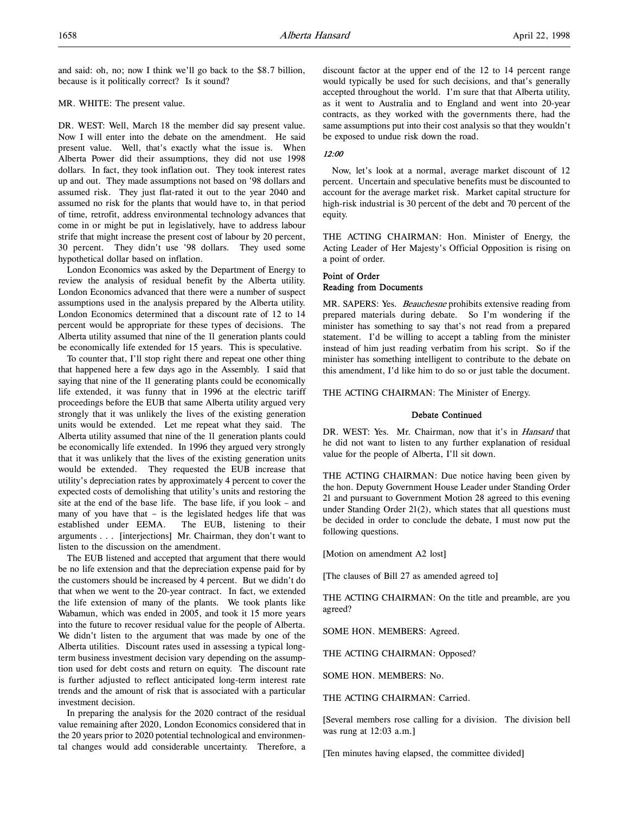and said: oh, no; now I think we'll go back to the \$8.7 billion, because is it politically correct? Is it sound?

#### MR. WHITE: The present value.

DR. WEST: Well, March 18 the member did say present value. Now I will enter into the debate on the amendment. He said present value. Well, that's exactly what the issue is. When Alberta Power did their assumptions, they did not use 1998 dollars. In fact, they took inflation out. They took interest rates up and out. They made assumptions not based on '98 dollars and assumed risk. They just flat-rated it out to the year 2040 and assumed no risk for the plants that would have to, in that period of time, retrofit, address environmental technology advances that come in or might be put in legislatively, have to address labour strife that might increase the present cost of labour by 20 percent, 30 percent. They didn't use '98 dollars. They used some hypothetical dollar based on inflation.

London Economics was asked by the Department of Energy to review the analysis of residual benefit by the Alberta utility. London Economics advanced that there were a number of suspect assumptions used in the analysis prepared by the Alberta utility. London Economics determined that a discount rate of 12 to 14 percent would be appropriate for these types of decisions. The Alberta utility assumed that nine of the 11 generation plants could be economically life extended for 15 years. This is speculative.

To counter that, I'll stop right there and repeat one other thing that happened here a few days ago in the Assembly. I said that saying that nine of the 11 generating plants could be economically life extended, it was funny that in 1996 at the electric tariff proceedings before the EUB that same Alberta utility argued very strongly that it was unlikely the lives of the existing generation units would be extended. Let me repeat what they said. The Alberta utility assumed that nine of the 11 generation plants could be economically life extended. In 1996 they argued very strongly that it was unlikely that the lives of the existing generation units would be extended. They requested the EUB increase that utility's depreciation rates by approximately 4 percent to cover the expected costs of demolishing that utility's units and restoring the site at the end of the base life. The base life, if you look – and many of you have that – is the legislated hedges life that was established under EEMA. The EUB, listening to their arguments . . . [interjections] Mr. Chairman, they don't want to listen to the discussion on the amendment.

The EUB listened and accepted that argument that there would be no life extension and that the depreciation expense paid for by the customers should be increased by 4 percent. But we didn't do that when we went to the 20-year contract. In fact, we extended the life extension of many of the plants. We took plants like Wabamun, which was ended in 2005, and took it 15 more years into the future to recover residual value for the people of Alberta. We didn't listen to the argument that was made by one of the Alberta utilities. Discount rates used in assessing a typical longterm business investment decision vary depending on the assumption used for debt costs and return on equity. The discount rate is further adjusted to reflect anticipated long-term interest rate trends and the amount of risk that is associated with a particular investment decision.

In preparing the analysis for the 2020 contract of the residual value remaining after 2020, London Economics considered that in the 20 years prior to 2020 potential technological and environmental changes would add considerable uncertainty. Therefore, a

discount factor at the upper end of the 12 to 14 percent range would typically be used for such decisions, and that's generally accepted throughout the world. I'm sure that that Alberta utility, as it went to Australia and to England and went into 20-year contracts, as they worked with the governments there, had the same assumptions put into their cost analysis so that they wouldn't be exposed to undue risk down the road.

## 12:00

Now, let's look at a normal, average market discount of 12 percent. Uncertain and speculative benefits must be discounted to account for the average market risk. Market capital structure for high-risk industrial is 30 percent of the debt and 70 percent of the equity.

THE ACTING CHAIRMAN: Hon. Minister of Energy, the Acting Leader of Her Majesty's Official Opposition is rising on a point of order.

# Point of Order Reading from Documents

MR. SAPERS: Yes. Beauchesne prohibits extensive reading from prepared materials during debate. So I'm wondering if the minister has something to say that's not read from a prepared statement. I'd be willing to accept a tabling from the minister instead of him just reading verbatim from his script. So if the minister has something intelligent to contribute to the debate on this amendment, I'd like him to do so or just table the document.

THE ACTING CHAIRMAN: The Minister of Energy.

#### Debate Continued

DR. WEST: Yes. Mr. Chairman, now that it's in *Hansard* that he did not want to listen to any further explanation of residual value for the people of Alberta, I'll sit down.

THE ACTING CHAIRMAN: Due notice having been given by the hon. Deputy Government House Leader under Standing Order 21 and pursuant to Government Motion 28 agreed to this evening under Standing Order 21(2), which states that all questions must be decided in order to conclude the debate, I must now put the following questions.

[Motion on amendment A2 lost]

[The clauses of Bill 27 as amended agreed to]

THE ACTING CHAIRMAN: On the title and preamble, are you agreed?

SOME HON. MEMBERS: Agreed.

THE ACTING CHAIRMAN: Opposed?

SOME HON. MEMBERS: No.

THE ACTING CHAIRMAN: Carried.

[Several members rose calling for a division. The division bell was rung at 12:03 a.m.]

[Ten minutes having elapsed, the committee divided]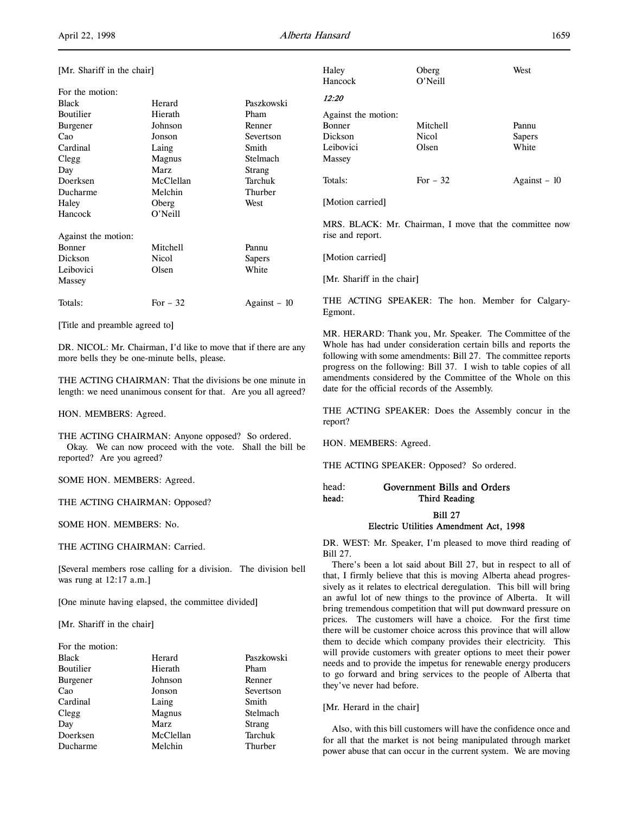### [Mr. Shariff in the chair]

| For the motion:     |           |              |
|---------------------|-----------|--------------|
| <b>Black</b>        | Herard    | Paszkowski   |
| Boutilier           | Hierath   | Pham         |
| Burgener            | Johnson   | Renner       |
| Cao                 | Jonson    | Severtson    |
| Cardinal            | Laing     | Smith        |
| Clegg               | Magnus    | Stelmach     |
| Day                 | Marz      | Strang       |
| Doerksen            | McClellan | Tarchuk      |
| Ducharme            | Melchin   | Thurber      |
| Haley               | Oberg     | West         |
| Hancock             | O'Neill   |              |
| Against the motion: |           |              |
| Bonner              | Mitchell  | Pannu        |
| Dickson             | Nicol     | Sapers       |
| Leibovici           | Olsen     | White        |
| Massey              |           |              |
| Totals:             | For $-32$ | Against – 10 |

[Title and preamble agreed to]

DR. NICOL: Mr. Chairman, I'd like to move that if there are any more bells they be one-minute bells, please.

THE ACTING CHAIRMAN: That the divisions be one minute in length: we need unanimous consent for that. Are you all agreed?

HON. MEMBERS: Agreed.

THE ACTING CHAIRMAN: Anyone opposed? So ordered. Okay. We can now proceed with the vote. Shall the bill be reported? Are you agreed?

SOME HON. MEMBERS: Agreed.

THE ACTING CHAIRMAN: Opposed?

SOME HON. MEMBERS: No.

THE ACTING CHAIRMAN: Carried.

[Several members rose calling for a division. The division bell was rung at 12:17 a.m.]

[One minute having elapsed, the committee divided]

[Mr. Shariff in the chair]

| For the motion: |           |            |
|-----------------|-----------|------------|
| <b>Black</b>    | Herard    | Paszkowski |
| Boutilier       | Hierath   | Pham       |
| Burgener        | Johnson   | Renner     |
| Cao             | Jonson    | Severtson  |
| Cardinal        | Laing     | Smith      |
| Clegg           | Magnus    | Stelmach   |
| Day             | Marz      | Strang     |
| Doerksen        | McClellan | Tarchuk    |
| Ducharme        | Melchin   | Thurber    |

| Haley               | Oberg     | West          |
|---------------------|-----------|---------------|
| Hancock             | O'Neill   |               |
| 12:20               |           |               |
| Against the motion: |           |               |
| Bonner              | Mitchell  | Pannu         |
| Dickson             | Nicol     | Sapers        |
| Leibovici           | Olsen     | White         |
| Massey              |           |               |
| Totals:             | For $-32$ | Against $-10$ |
| [Motion carried]    |           |               |

MRS. BLACK: Mr. Chairman, I move that the committee now rise and report.

[Motion carried]

[Mr. Shariff in the chair]

THE ACTING SPEAKER: The hon. Member for Calgary-Egmont.

MR. HERARD: Thank you, Mr. Speaker. The Committee of the Whole has had under consideration certain bills and reports the following with some amendments: Bill 27. The committee reports progress on the following: Bill 37. I wish to table copies of all amendments considered by the Committee of the Whole on this date for the official records of the Assembly.

THE ACTING SPEAKER: Does the Assembly concur in the report?

HON. MEMBERS: Agreed.

THE ACTING SPEAKER: Opposed? So ordered.

# head: Government Bills and Orders head: Third Reading

### Bill 27

## Electric Utilities Amendment Act, 1998

DR. WEST: Mr. Speaker, I'm pleased to move third reading of Bill 27.

There's been a lot said about Bill 27, but in respect to all of that, I firmly believe that this is moving Alberta ahead progressively as it relates to electrical deregulation. This bill will bring an awful lot of new things to the province of Alberta. It will bring tremendous competition that will put downward pressure on prices. The customers will have a choice. For the first time there will be customer choice across this province that will allow them to decide which company provides their electricity. This will provide customers with greater options to meet their power needs and to provide the impetus for renewable energy producers to go forward and bring services to the people of Alberta that they've never had before.

[Mr. Herard in the chair]

Also, with this bill customers will have the confidence once and for all that the market is not being manipulated through market power abuse that can occur in the current system. We are moving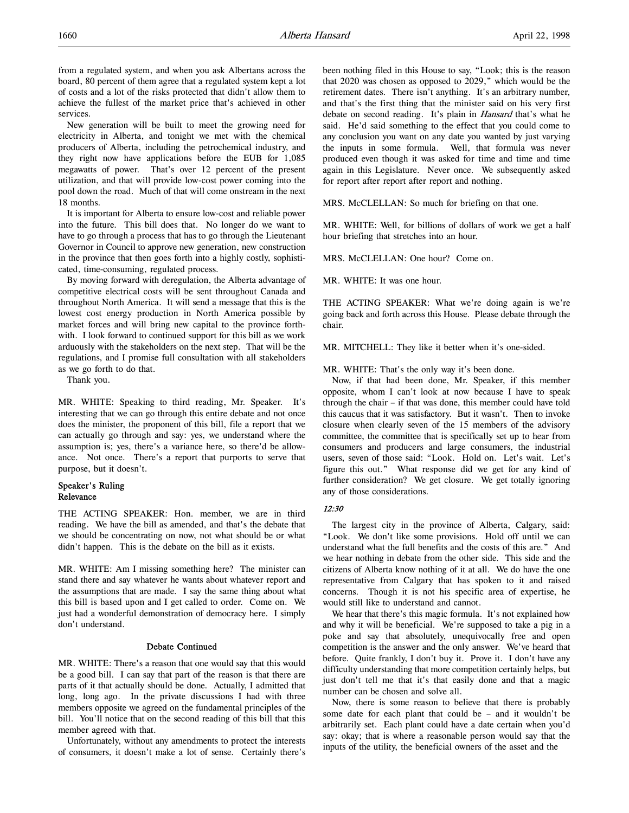from a regulated system, and when you ask Albertans across the board, 80 percent of them agree that a regulated system kept a lot of costs and a lot of the risks protected that didn't allow them to achieve the fullest of the market price that's achieved in other services.

New generation will be built to meet the growing need for electricity in Alberta, and tonight we met with the chemical producers of Alberta, including the petrochemical industry, and they right now have applications before the EUB for 1,085 megawatts of power. That's over 12 percent of the present utilization, and that will provide low-cost power coming into the pool down the road. Much of that will come onstream in the next 18 months.

It is important for Alberta to ensure low-cost and reliable power into the future. This bill does that. No longer do we want to have to go through a process that has to go through the Lieutenant Governor in Council to approve new generation, new construction in the province that then goes forth into a highly costly, sophisticated, time-consuming, regulated process.

By moving forward with deregulation, the Alberta advantage of competitive electrical costs will be sent throughout Canada and throughout North America. It will send a message that this is the lowest cost energy production in North America possible by market forces and will bring new capital to the province forthwith. I look forward to continued support for this bill as we work arduously with the stakeholders on the next step. That will be the regulations, and I promise full consultation with all stakeholders as we go forth to do that.

Thank you.

MR. WHITE: Speaking to third reading, Mr. Speaker. It's interesting that we can go through this entire debate and not once does the minister, the proponent of this bill, file a report that we can actually go through and say: yes, we understand where the assumption is; yes, there's a variance here, so there'd be allowance. Not once. There's a report that purports to serve that purpose, but it doesn't.

# Speaker's Ruling Relevance

THE ACTING SPEAKER: Hon. member, we are in third reading. We have the bill as amended, and that's the debate that we should be concentrating on now, not what should be or what didn't happen. This is the debate on the bill as it exists.

MR. WHITE: Am I missing something here? The minister can stand there and say whatever he wants about whatever report and the assumptions that are made. I say the same thing about what this bill is based upon and I get called to order. Come on. We just had a wonderful demonstration of democracy here. I simply don't understand.

#### Debate Continued

MR. WHITE: There's a reason that one would say that this would be a good bill. I can say that part of the reason is that there are parts of it that actually should be done. Actually, I admitted that long, long ago. In the private discussions I had with three members opposite we agreed on the fundamental principles of the bill. You'll notice that on the second reading of this bill that this member agreed with that.

Unfortunately, without any amendments to protect the interests of consumers, it doesn't make a lot of sense. Certainly there's

been nothing filed in this House to say, "Look; this is the reason that 2020 was chosen as opposed to 2029," which would be the retirement dates. There isn't anything. It's an arbitrary number, and that's the first thing that the minister said on his very first debate on second reading. It's plain in *Hansard* that's what he said. He'd said something to the effect that you could come to any conclusion you want on any date you wanted by just varying the inputs in some formula. Well, that formula was never produced even though it was asked for time and time and time again in this Legislature. Never once. We subsequently asked for report after report after report and nothing.

MRS. McCLELLAN: So much for briefing on that one.

MR. WHITE: Well, for billions of dollars of work we get a half hour briefing that stretches into an hour.

MRS. McCLELLAN: One hour? Come on.

MR. WHITE: It was one hour.

THE ACTING SPEAKER: What we're doing again is we're going back and forth across this House. Please debate through the chair.

MR. MITCHELL: They like it better when it's one-sided.

MR. WHITE: That's the only way it's been done.

Now, if that had been done, Mr. Speaker, if this member opposite, whom I can't look at now because I have to speak through the chair – if that was done, this member could have told this caucus that it was satisfactory. But it wasn't. Then to invoke closure when clearly seven of the 15 members of the advisory committee, the committee that is specifically set up to hear from consumers and producers and large consumers, the industrial users, seven of those said: "Look. Hold on. Let's wait. Let's figure this out." What response did we get for any kind of further consideration? We get closure. We get totally ignoring any of those considerations.

## 12:30

The largest city in the province of Alberta, Calgary, said: "Look. We don't like some provisions. Hold off until we can understand what the full benefits and the costs of this are." And we hear nothing in debate from the other side. This side and the citizens of Alberta know nothing of it at all. We do have the one representative from Calgary that has spoken to it and raised concerns. Though it is not his specific area of expertise, he would still like to understand and cannot.

We hear that there's this magic formula. It's not explained how and why it will be beneficial. We're supposed to take a pig in a poke and say that absolutely, unequivocally free and open competition is the answer and the only answer. We've heard that before. Quite frankly, I don't buy it. Prove it. I don't have any difficulty understanding that more competition certainly helps, but just don't tell me that it's that easily done and that a magic number can be chosen and solve all.

Now, there is some reason to believe that there is probably some date for each plant that could be – and it wouldn't be arbitrarily set. Each plant could have a date certain when you'd say: okay; that is where a reasonable person would say that the inputs of the utility, the beneficial owners of the asset and the